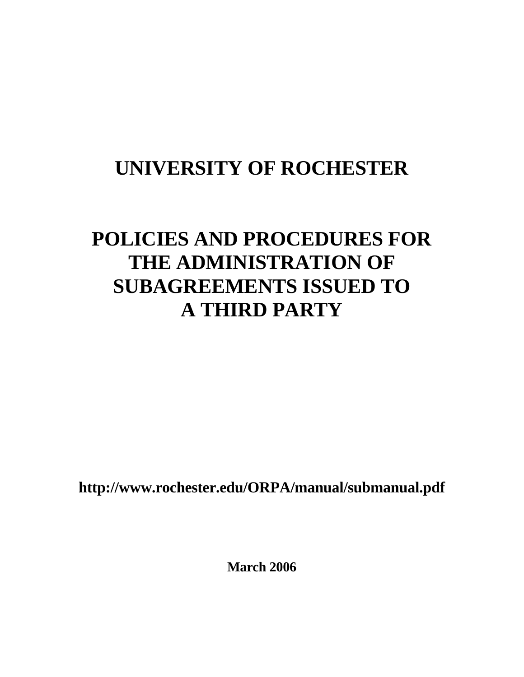# **UNIVERSITY OF ROCHESTER**

# **POLICIES AND PROCEDURES FOR THE ADMINISTRATION OF SUBAGREEMENTS ISSUED TO A THIRD PARTY**

**http://www.rochester.edu/ORPA/manual/submanual.pdf** 

**March 2006**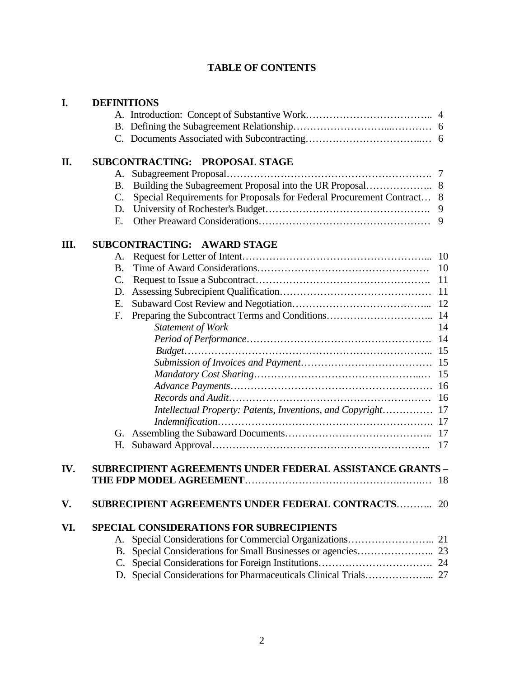# **TABLE OF CONTENTS**

| I.  | <b>DEFINITIONS</b> |                                                                       |     |
|-----|--------------------|-----------------------------------------------------------------------|-----|
|     |                    |                                                                       |     |
|     |                    |                                                                       |     |
|     |                    |                                                                       |     |
| II. |                    | SUBCONTRACTING: PROPOSAL STAGE                                        |     |
|     | A.                 |                                                                       |     |
|     | B.                 |                                                                       |     |
|     | $\mathbf{C}$ .     | Special Requirements for Proposals for Federal Procurement Contract 8 |     |
|     | D.                 |                                                                       |     |
|     | Е.                 |                                                                       | 9   |
| Ш.  |                    | SUBCONTRACTING: AWARD STAGE                                           |     |
|     | A.                 |                                                                       | 10  |
|     | Β.                 |                                                                       | 10  |
|     | C.                 |                                                                       | 11  |
|     | D.                 |                                                                       | -11 |
|     | Е.                 |                                                                       |     |
|     | F.                 |                                                                       |     |
|     |                    | Statement of Work                                                     | 14  |
|     |                    |                                                                       | 14  |
|     |                    |                                                                       |     |
|     |                    |                                                                       |     |
|     |                    |                                                                       | 15  |
|     |                    |                                                                       |     |
|     |                    |                                                                       | 16  |
|     |                    | Intellectual Property: Patents, Inventions, and Copyright 17          |     |
|     |                    |                                                                       |     |
|     | G.                 |                                                                       |     |
|     | Н.                 |                                                                       | 17  |
| IV. |                    | <b>SUBRECIPIENT AGREEMENTS UNDER FEDERAL ASSISTANCE GRANTS -</b>      |     |
|     |                    |                                                                       | 18  |
| V.  |                    | <b>SUBRECIPIENT AGREEMENTS UNDER FEDERAL CONTRACTS 20</b>             |     |
| VI. |                    | <b>SPECIAL CONSIDERATIONS FOR SUBRECIPIENTS</b>                       |     |
|     |                    |                                                                       |     |
|     |                    |                                                                       |     |
|     |                    |                                                                       |     |
|     |                    | D. Special Considerations for Pharmaceuticals Clinical Trials 27      |     |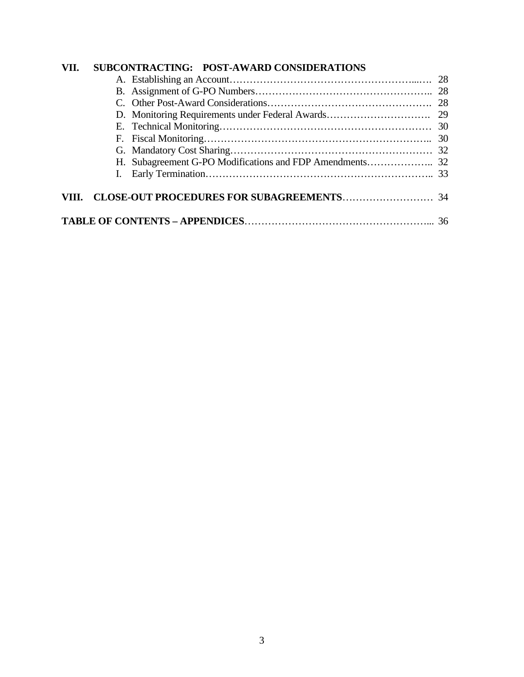| VII. |  | SUBCONTRACTING: POST-AWARD CONSIDERATIONS |  |  |  |
|------|--|-------------------------------------------|--|--|--|
|      |  |                                           |  |  |  |
|      |  |                                           |  |  |  |
|      |  |                                           |  |  |  |
|      |  |                                           |  |  |  |
|      |  |                                           |  |  |  |
|      |  |                                           |  |  |  |
|      |  |                                           |  |  |  |
|      |  |                                           |  |  |  |
|      |  |                                           |  |  |  |
|      |  |                                           |  |  |  |
|      |  |                                           |  |  |  |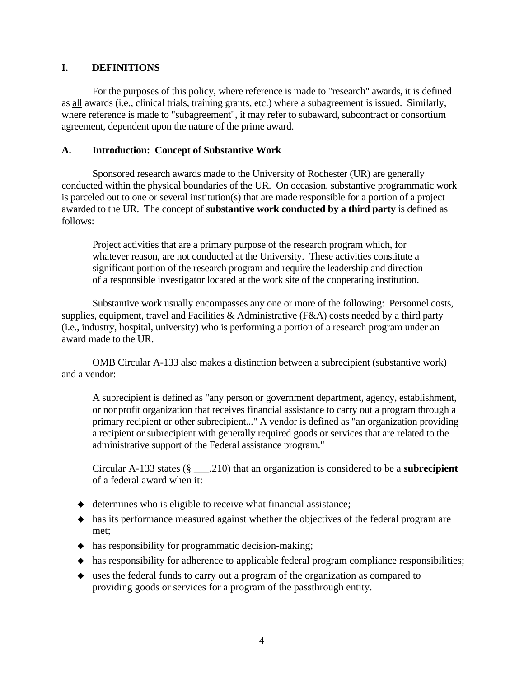# **I. DEFINITIONS**

 For the purposes of this policy, where reference is made to "research" awards, it is defined as all awards (i.e., clinical trials, training grants, etc.) where a subagreement is issued. Similarly, where reference is made to "subagreement", it may refer to subaward, subcontract or consortium agreement, dependent upon the nature of the prime award.

## **A. Introduction: Concept of Substantive Work**

 Sponsored research awards made to the University of Rochester (UR) are generally conducted within the physical boundaries of the UR. On occasion, substantive programmatic work is parceled out to one or several institution(s) that are made responsible for a portion of a project awarded to the UR. The concept of **substantive work conducted by a third party** is defined as follows:

 Project activities that are a primary purpose of the research program which, for whatever reason, are not conducted at the University. These activities constitute a significant portion of the research program and require the leadership and direction of a responsible investigator located at the work site of the cooperating institution.

 Substantive work usually encompasses any one or more of the following: Personnel costs, supplies, equipment, travel and Facilities & Administrative (F&A) costs needed by a third party (i.e., industry, hospital, university) who is performing a portion of a research program under an award made to the UR.

 OMB Circular A-133 also makes a distinction between a subrecipient (substantive work) and a vendor:

 A subrecipient is defined as "any person or government department, agency, establishment, or nonprofit organization that receives financial assistance to carry out a program through a primary recipient or other subrecipient..." A vendor is defined as "an organization providing a recipient or subrecipient with generally required goods or services that are related to the administrative support of the Federal assistance program."

Circular A-133 states (§ \_\_\_.210) that an organization is considered to be a **subrecipient** of a federal award when it:

- $\triangleleft$  determines who is eligible to receive what financial assistance;
- has its performance measured against whether the objectives of the federal program are met;
- has responsibility for programmatic decision-making;
- has responsibility for adherence to applicable federal program compliance responsibilities;
- uses the federal funds to carry out a program of the organization as compared to providing goods or services for a program of the passthrough entity.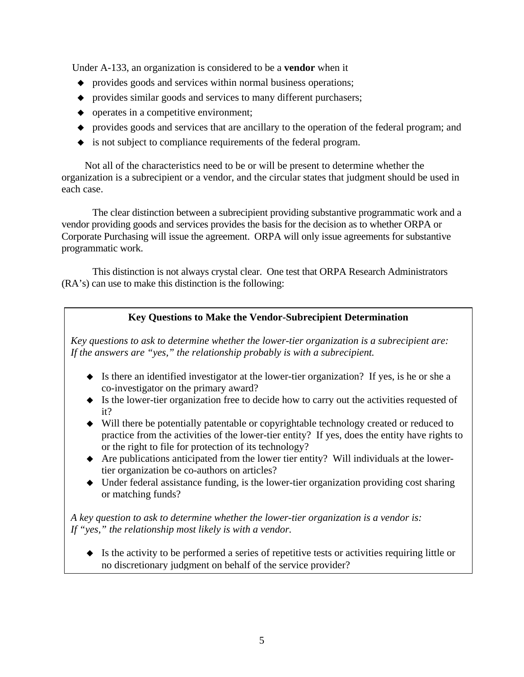Under A-133, an organization is considered to be a **vendor** when it

- provides goods and services within normal business operations;
- provides similar goods and services to many different purchasers;
- $\bullet$  operates in a competitive environment;
- provides goods and services that are ancillary to the operation of the federal program; and
- is not subject to compliance requirements of the federal program.

 Not all of the characteristics need to be or will be present to determine whether the organization is a subrecipient or a vendor, and the circular states that judgment should be used in each case.

 The clear distinction between a subrecipient providing substantive programmatic work and a vendor providing goods and services provides the basis for the decision as to whether ORPA or Corporate Purchasing will issue the agreement. ORPA will only issue agreements for substantive programmatic work.

 This distinction is not always crystal clear. One test that ORPA Research Administrators (RA's) can use to make this distinction is the following:

# **Key Questions to Make the Vendor-Subrecipient Determination**

*Key questions to ask to determine whether the lower-tier organization is a subrecipient are: If the answers are "yes," the relationship probably is with a subrecipient.* 

- Is there an identified investigator at the lower-tier organization? If yes, is he or she a co-investigator on the primary award?
- Is the lower-tier organization free to decide how to carry out the activities requested of it?
- Will there be potentially patentable or copyrightable technology created or reduced to practice from the activities of the lower-tier entity? If yes, does the entity have rights to or the right to file for protection of its technology?
- Are publications anticipated from the lower tier entity? Will individuals at the lowertier organization be co-authors on articles?
- Under federal assistance funding, is the lower-tier organization providing cost sharing or matching funds?

*A key question to ask to determine whether the lower-tier organization is a vendor is: If "yes," the relationship most likely is with a vendor.* 

 Is the activity to be performed a series of repetitive tests or activities requiring little or no discretionary judgment on behalf of the service provider?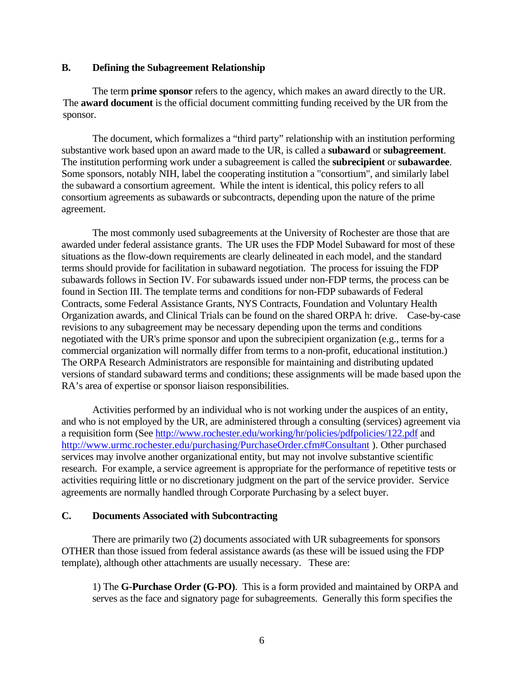#### **B. Defining the Subagreement Relationship**

 The term **prime sponsor** refers to the agency, which makes an award directly to the UR. The **award document** is the official document committing funding received by the UR from the sponsor.

 The document, which formalizes a "third party" relationship with an institution performing substantive work based upon an award made to the UR, is called a **subaward** or **subagreement**. The institution performing work under a subagreement is called the **subrecipient** or **subawardee**. Some sponsors, notably NIH, label the cooperating institution a "consortium", and similarly label the subaward a consortium agreement. While the intent is identical, this policy refers to all consortium agreements as subawards or subcontracts, depending upon the nature of the prime agreement.

 The most commonly used subagreements at the University of Rochester are those that are awarded under federal assistance grants. The UR uses the FDP Model Subaward for most of these situations as the flow-down requirements are clearly delineated in each model, and the standard terms should provide for facilitation in subaward negotiation. The process for issuing the FDP subawards follows in Section IV. For subawards issued under non-FDP terms, the process can be found in Section III. The template terms and conditions for non-FDP subawards of Federal Contracts, some Federal Assistance Grants, NYS Contracts, Foundation and Voluntary Health Organization awards, and Clinical Trials can be found on the shared ORPA h: drive. Case-by-case revisions to any subagreement may be necessary depending upon the terms and conditions negotiated with the UR's prime sponsor and upon the subrecipient organization (e.g., terms for a commercial organization will normally differ from terms to a non-profit, educational institution.) The ORPA Research Administrators are responsible for maintaining and distributing updated versions of standard subaward terms and conditions; these assignments will be made based upon the RA's area of expertise or sponsor liaison responsibilities.

 Activities performed by an individual who is not working under the auspices of an entity, and who is not employed by the UR, are administered through a consulting (services) agreement via a requisition form (See <http://www.rochester.edu/working/hr/policies/pdfpolicies/122.pdf> and <http://www.urmc.rochester.edu/purchasing/PurchaseOrder.cfm#Consultant>). Other purchased services may involve another organizational entity, but may not involve substantive scientific research. For example, a service agreement is appropriate for the performance of repetitive tests or activities requiring little or no discretionary judgment on the part of the service provider. Service agreements are normally handled through Corporate Purchasing by a select buyer.

#### **C. Documents Associated with Subcontracting**

 There are primarily two (2) documents associated with UR subagreements for sponsors OTHER than those issued from federal assistance awards (as these will be issued using the FDP template), although other attachments are usually necessary. These are:

 1) The **G-Purchase Order (G-PO)**. This is a form provided and maintained by ORPA and serves as the face and signatory page for subagreements. Generally this form specifies the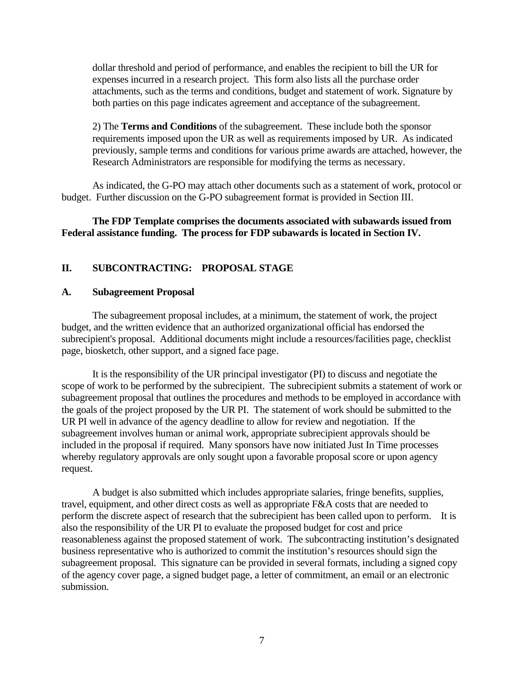dollar threshold and period of performance, and enables the recipient to bill the UR for expenses incurred in a research project. This form also lists all the purchase order attachments, such as the terms and conditions, budget and statement of work. Signature by both parties on this page indicates agreement and acceptance of the subagreement.

 2) The **Terms and Conditions** of the subagreement. These include both the sponsor requirements imposed upon the UR as well as requirements imposed by UR. As indicated previously, sample terms and conditions for various prime awards are attached, however, the Research Administrators are responsible for modifying the terms as necessary.

 As indicated, the G-PO may attach other documents such as a statement of work, protocol or budget. Further discussion on the G-PO subagreement format is provided in Section III.

#### **The FDP Template comprises the documents associated with subawards issued from Federal assistance funding. The process for FDP subawards is located in Section IV.**

## **II. SUBCONTRACTING: PROPOSAL STAGE**

#### **A. Subagreement Proposal**

 The subagreement proposal includes, at a minimum, the statement of work, the project budget, and the written evidence that an authorized organizational official has endorsed the subrecipient's proposal. Additional documents might include a resources/facilities page, checklist page, biosketch, other support, and a signed face page.

 It is the responsibility of the UR principal investigator (PI) to discuss and negotiate the scope of work to be performed by the subrecipient. The subrecipient submits a statement of work or subagreement proposal that outlines the procedures and methods to be employed in accordance with the goals of the project proposed by the UR PI. The statement of work should be submitted to the UR PI well in advance of the agency deadline to allow for review and negotiation. If the subagreement involves human or animal work, appropriate subrecipient approvals should be included in the proposal if required. Many sponsors have now initiated Just In Time processes whereby regulatory approvals are only sought upon a favorable proposal score or upon agency request.

 A budget is also submitted which includes appropriate salaries, fringe benefits, supplies, travel, equipment, and other direct costs as well as appropriate F&A costs that are needed to perform the discrete aspect of research that the subrecipient has been called upon to perform. It is also the responsibility of the UR PI to evaluate the proposed budget for cost and price reasonableness against the proposed statement of work. The subcontracting institution's designated business representative who is authorized to commit the institution's resources should sign the subagreement proposal. This signature can be provided in several formats, including a signed copy of the agency cover page, a signed budget page, a letter of commitment, an email or an electronic submission.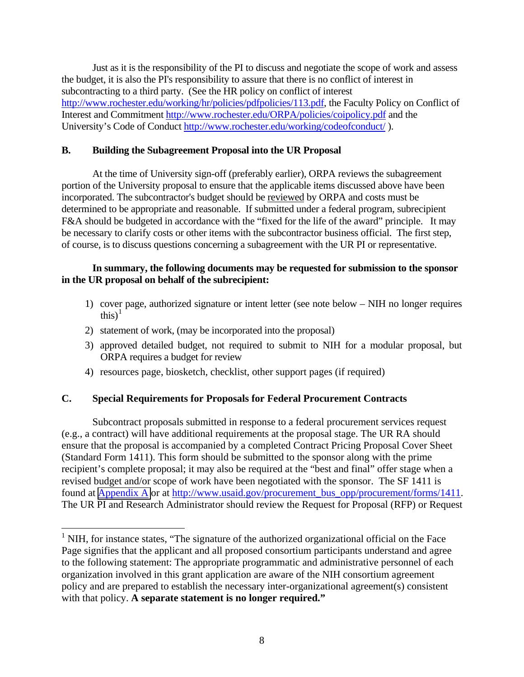Just as it is the responsibility of the PI to discuss and negotiate the scope of work and assess the budget, it is also the PI's responsibility to assure that there is no conflict of interest in subcontracting to a third party. (See the HR policy on conflict of interest [http://www.rochester.edu/working/hr/policies/pdfpolicies/113.pdf,](http://www.rochester.edu/working/hr/policies/pdfpolicies/113.pdf) the Faculty Policy on Conflict of Interest and Commitment<http://www.rochester.edu/ORPA/policies/coipolicy.pdf> and the University's Code of Conduct<http://www.rochester.edu/working/codeofconduct/>).

# **B. Building the Subagreement Proposal into the UR Proposal**

 At the time of University sign-off (preferably earlier), ORPA reviews the subagreement portion of the University proposal to ensure that the applicable items discussed above have been incorporated. The subcontractor's budget should be reviewed by ORPA and costs must be determined to be appropriate and reasonable. If submitted under a federal program, subrecipient F&A should be budgeted in accordance with the "fixed for the life of the award" principle. It may be necessary to clarify costs or other items with the subcontractor business official. The first step, of course, is to discuss questions concerning a subagreement with the UR PI or representative.

## **In summary, the following documents may be requested for submission to the sponsor in the UR proposal on behalf of the subrecipient:**

- 1) cover page, authorized signature or intent letter (see note below NIH no longer requires this) $<sup>1</sup>$  $<sup>1</sup>$  $<sup>1</sup>$ </sup>
- 2) statement of work, (may be incorporated into the proposal)

1

- 3) approved detailed budget, not required to submit to NIH for a modular proposal, but ORPA requires a budget for review
- 4) resources page, biosketch, checklist, other support pages (if required)

# **C. Special Requirements for Proposals for Federal Procurement Contracts**

 Subcontract proposals submitted in response to a federal procurement services request (e.g., a contract) will have additional requirements at the proposal stage. The UR RA should ensure that the proposal is accompanied by a completed Contract Pricing Proposal Cover Sheet (Standard Form 1411). This form should be submitted to the sponsor along with the prime recipient's complete proposal; it may also be required at the "best and final" offer stage when a revised budget and/or scope of work have been negotiated with the sponsor. The SF 1411 is found at [Appendix A](http://www.rochester.edu/ORPA/manual/AppendixAsf1411.pdf) or at [http://www.usaid.gov/procurement\\_bus\\_opp/procurement/forms/1411.](http://www.usaid.gov/procurement_bus_opp/procurement/forms/1411) The UR PI and Research Administrator should review the Request for Proposal (RFP) or Request

<span id="page-7-0"></span><sup>&</sup>lt;sup>1</sup> NIH, for instance states, "The signature of the authorized organizational official on the Face Page signifies that the applicant and all proposed consortium participants understand and agree to the following statement: The appropriate programmatic and administrative personnel of each organization involved in this grant application are aware of the NIH consortium agreement policy and are prepared to establish the necessary inter-organizational agreement(s) consistent with that policy. **A separate statement is no longer required."**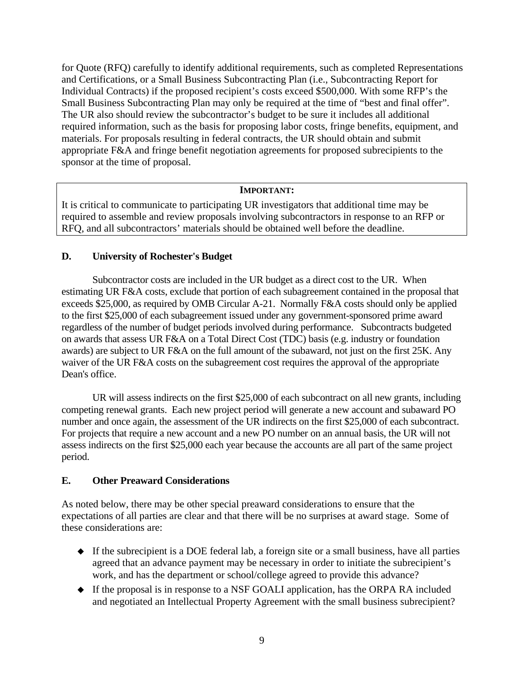for Quote (RFQ) carefully to identify additional requirements, such as completed Representations and Certifications, or a Small Business Subcontracting Plan (i.e., Subcontracting Report for Individual Contracts) if the proposed recipient's costs exceed \$500,000. With some RFP's the Small Business Subcontracting Plan may only be required at the time of "best and final offer". The UR also should review the subcontractor's budget to be sure it includes all additional required information, such as the basis for proposing labor costs, fringe benefits, equipment, and materials. For proposals resulting in federal contracts, the UR should obtain and submit appropriate F&A and fringe benefit negotiation agreements for proposed subrecipients to the sponsor at the time of proposal.

## **IMPORTANT:**

It is critical to communicate to participating UR investigators that additional time may be required to assemble and review proposals involving subcontractors in response to an RFP or RFQ, and all subcontractors' materials should be obtained well before the deadline.

# **D. University of Rochester's Budget**

 Subcontractor costs are included in the UR budget as a direct cost to the UR. When estimating UR F&A costs, exclude that portion of each subagreement contained in the proposal that exceeds \$25,000, as required by OMB Circular A-21. Normally F&A costs should only be applied to the first \$25,000 of each subagreement issued under any government-sponsored prime award regardless of the number of budget periods involved during performance. Subcontracts budgeted on awards that assess UR F&A on a Total Direct Cost (TDC) basis (e.g. industry or foundation awards) are subject to UR F&A on the full amount of the subaward, not just on the first 25K. Any waiver of the UR F&A costs on the subagreement cost requires the approval of the appropriate Dean's office.

 UR will assess indirects on the first \$25,000 of each subcontract on all new grants, including competing renewal grants. Each new project period will generate a new account and subaward PO number and once again, the assessment of the UR indirects on the first \$25,000 of each subcontract. For projects that require a new account and a new PO number on an annual basis, the UR will not assess indirects on the first \$25,000 each year because the accounts are all part of the same project period.

## **E. Other Preaward Considerations**

As noted below, there may be other special preaward considerations to ensure that the expectations of all parties are clear and that there will be no surprises at award stage. Some of these considerations are:

- $\blacklozenge$  If the subrecipient is a DOE federal lab, a foreign site or a small business, have all parties agreed that an advance payment may be necessary in order to initiate the subrecipient's work, and has the department or school/college agreed to provide this advance?
- If the proposal is in response to a NSF GOALI application, has the ORPA RA included and negotiated an Intellectual Property Agreement with the small business subrecipient?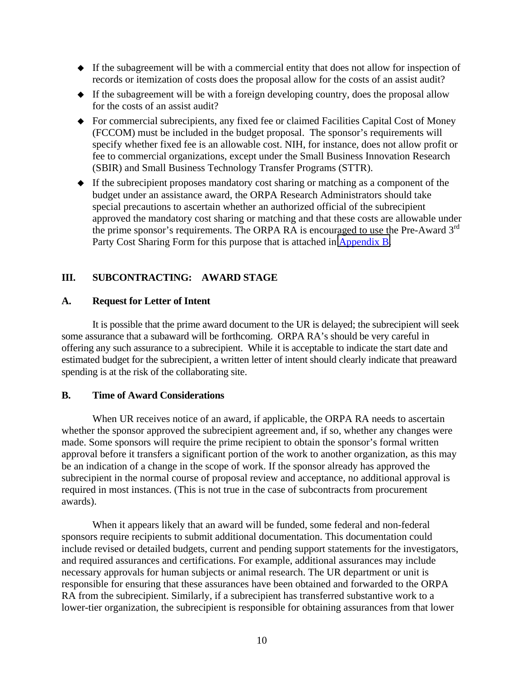- If the subagreement will be with a commercial entity that does not allow for inspection of records or itemization of costs does the proposal allow for the costs of an assist audit?
- $\bullet$  If the subagreement will be with a foreign developing country, does the proposal allow for the costs of an assist audit?
- For commercial subrecipients, any fixed fee or claimed Facilities Capital Cost of Money (FCCOM) must be included in the budget proposal. The sponsor's requirements will specify whether fixed fee is an allowable cost. NIH, for instance, does not allow profit or fee to commercial organizations, except under the Small Business Innovation Research (SBIR) and Small Business Technology Transfer Programs (STTR).
- If the subrecipient proposes mandatory cost sharing or matching as a component of the budget under an assistance award, the ORPA Research Administrators should take special precautions to ascertain whether an authorized official of the subrecipient approved the mandatory cost sharing or matching and that these costs are allowable under the prime sponsor's requirements. The ORPA RA is encouraged to use the Pre-Award  $3<sup>rd</sup>$ Party Cost Sharing Form for this purpose that is attached in [Appendix B.](http://www.rochester.edu/ORPA/manual/AppendixBpreawardThirdPartycs.pdf)

# **III. SUBCONTRACTING: AWARD STAGE**

# **A. Request for Letter of Intent**

 It is possible that the prime award document to the UR is delayed; the subrecipient will seek some assurance that a subaward will be forthcoming. ORPA RA's should be very careful in offering any such assurance to a subrecipient. While it is acceptable to indicate the start date and estimated budget for the subrecipient, a written letter of intent should clearly indicate that preaward spending is at the risk of the collaborating site.

# **B. Time of Award Considerations**

When UR receives notice of an award, if applicable, the ORPA RA needs to ascertain whether the sponsor approved the subrecipient agreement and, if so, whether any changes were made. Some sponsors will require the prime recipient to obtain the sponsor's formal written approval before it transfers a significant portion of the work to another organization, as this may be an indication of a change in the scope of work. If the sponsor already has approved the subrecipient in the normal course of proposal review and acceptance, no additional approval is required in most instances. (This is not true in the case of subcontracts from procurement awards).

When it appears likely that an award will be funded, some federal and non-federal sponsors require recipients to submit additional documentation. This documentation could include revised or detailed budgets, current and pending support statements for the investigators, and required assurances and certifications. For example, additional assurances may include necessary approvals for human subjects or animal research. The UR department or unit is responsible for ensuring that these assurances have been obtained and forwarded to the ORPA RA from the subrecipient. Similarly, if a subrecipient has transferred substantive work to a lower-tier organization, the subrecipient is responsible for obtaining assurances from that lower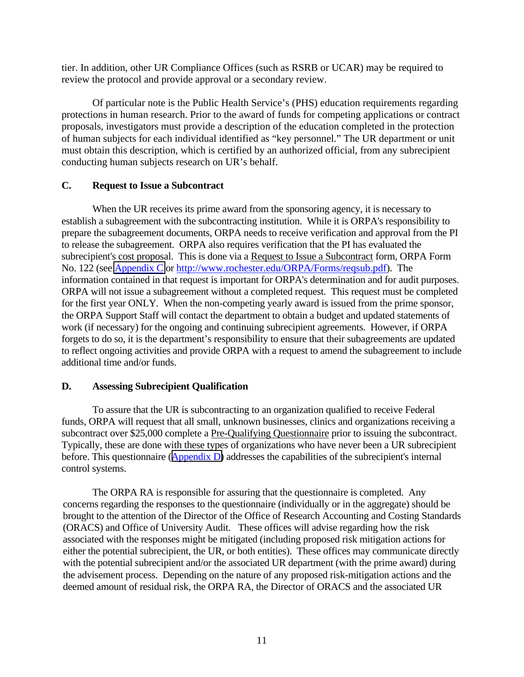tier. In addition, other UR Compliance Offices (such as RSRB or UCAR) may be required to review the protocol and provide approval or a secondary review.

Of particular note is the Public Health Service's (PHS) education requirements regarding protections in human research. Prior to the award of funds for competing applications or contract proposals, investigators must provide a description of the education completed in the protection of human subjects for each individual identified as "key personnel." The UR department or unit must obtain this description, which is certified by an authorized official, from any subrecipient conducting human subjects research on UR's behalf.

# **C. Request to Issue a Subcontract**

 When the UR receives its prime award from the sponsoring agency, it is necessary to establish a subagreement with the subcontracting institution. While it is ORPA's responsibility to prepare the subagreement documents, ORPA needs to receive verification and approval from the PI to release the subagreement. ORPA also requires verification that the PI has evaluated the subrecipient's cost proposal. This is done via a Request to Issue a Subcontract form, ORPA Form No. 122 (see [Appendix C](http://www.rochester.edu/ORPA/manual/AppendixCRequestSubagreementForm122.pdf) or [http://www.rochester.edu/ORPA/Forms/reqsub.pdf\)](http://www.rochester.edu/ORPA/Forms/reqsub.pdf). The information contained in that request is important for ORPA's determination and for audit purposes. ORPA will not issue a subagreement without a completed request. This request must be completed for the first year ONLY. When the non-competing yearly award is issued from the prime sponsor, the ORPA Support Staff will contact the department to obtain a budget and updated statements of work (if necessary) for the ongoing and continuing subrecipient agreements. However, if ORPA forgets to do so, it is the department's responsibility to ensure that their subagreements are updated to reflect ongoing activities and provide ORPA with a request to amend the subagreement to include additional time and/or funds.

## **D. Assessing Subrecipient Qualification**

 To assure that the UR is subcontracting to an organization qualified to receive Federal funds, ORPA will request that all small, unknown businesses, clinics and organizations receiving a subcontract over \$25,000 complete a Pre-Qualifying Questionnaire prior to issuing the subcontract. Typically, these are done with these types of organizations who have never been a UR subrecipient before. This questionnaire ([Appendix D\)](http://www.rochester.edu/ORPA/manual/AppendixDprequalifyingQuestionnaire.pdf) addresses the capabilities of the subrecipient's internal control systems.

The ORPA RA is responsible for assuring that the questionnaire is completed. Any concerns regarding the responses to the questionnaire (individually or in the aggregate) should be brought to the attention of the Director of the Office of Research Accounting and Costing Standards (ORACS) and Office of University Audit. These offices will advise regarding how the risk associated with the responses might be mitigated (including proposed risk mitigation actions for either the potential subrecipient, the UR, or both entities). These offices may communicate directly with the potential subrecipient and/or the associated UR department (with the prime award) during the advisement process. Depending on the nature of any proposed risk-mitigation actions and the deemed amount of residual risk, the ORPA RA, the Director of ORACS and the associated UR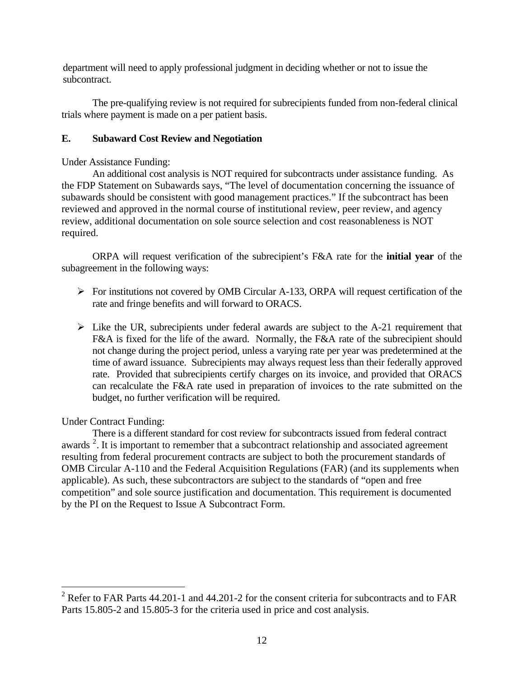department will need to apply professional judgment in deciding whether or not to issue the subcontract.

 The pre-qualifying review is not required for subrecipients funded from non-federal clinical trials where payment is made on a per patient basis.

# **E. Subaward Cost Review and Negotiation**

Under Assistance Funding:

 An additional cost analysis is NOT required for subcontracts under assistance funding. As the FDP Statement on Subawards says, "The level of documentation concerning the issuance of subawards should be consistent with good management practices." If the subcontract has been reviewed and approved in the normal course of institutional review, peer review, and agency review, additional documentation on sole source selection and cost reasonableness is NOT required.

 ORPA will request verification of the subrecipient's F&A rate for the **initial year** of the subagreement in the following ways:

- ¾ For institutions not covered by OMB Circular A-133, ORPA will request certification of the rate and fringe benefits and will forward to ORACS.
- $\triangleright$  Like the UR, subrecipients under federal awards are subject to the A-21 requirement that F&A is fixed for the life of the award. Normally, the F&A rate of the subrecipient should not change during the project period, unless a varying rate per year was predetermined at the time of award issuance. Subrecipients may always request less than their federally approved rate. Provided that subrecipients certify charges on its invoice, and provided that ORACS can recalculate the F&A rate used in preparation of invoices to the rate submitted on the budget, no further verification will be required.

Under Contract Funding:

 $\overline{a}$ 

There is a different standard for cost review for subcontracts issued from federal contract awards  $2$ . It is important to remember that a subcontract relationship and associated agreement resulting from federal procurement contracts are subject to both the procurement standards of OMB Circular A-110 and the Federal Acquisition Regulations (FAR) (and its supplements when applicable). As such, these subcontractors are subject to the standards of "open and free competition" and sole source justification and documentation. This requirement is documented by the PI on the Request to Issue A Subcontract Form.

<span id="page-11-0"></span><sup>&</sup>lt;sup>2</sup> Refer to FAR Parts 44.201-1 and 44.201-2 for the consent criteria for subcontracts and to FAR Parts 15.805-2 and 15.805-3 for the criteria used in price and cost analysis.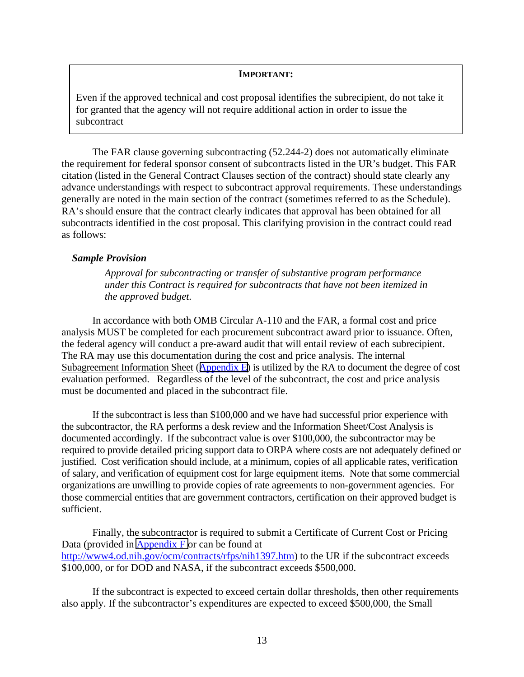#### **IMPORTANT:**

Even if the approved technical and cost proposal identifies the subrecipient, do not take it for granted that the agency will not require additional action in order to issue the subcontract

The FAR clause governing subcontracting (52.244-2) does not automatically eliminate the requirement for federal sponsor consent of subcontracts listed in the UR's budget. This FAR citation (listed in the General Contract Clauses section of the contract) should state clearly any advance understandings with respect to subcontract approval requirements. These understandings generally are noted in the main section of the contract (sometimes referred to as the Schedule). RA's should ensure that the contract clearly indicates that approval has been obtained for all subcontracts identified in the cost proposal. This clarifying provision in the contract could read as follows:

#### *Sample Provision*

*Approval for subcontracting or transfer of substantive program performance under this Contract is required for subcontracts that have not been itemized in the approved budget.* 

In accordance with both OMB Circular A-110 and the FAR, a formal cost and price analysis MUST be completed for each procurement subcontract award prior to issuance. Often, the federal agency will conduct a pre-award audit that will entail review of each subrecipient. The RA may use this documentation during the cost and price analysis. The internal Subagreement Information Sheet ([Appendix E\)](http://www.rochester.edu/ORPA/manual/AppendixEsubInfoCostAnalysis.pdf) is utilized by the RA to document the degree of cost evaluation performed. Regardless of the level of the subcontract, the cost and price analysis must be documented and placed in the subcontract file.

 If the subcontract is less than \$100,000 and we have had successful prior experience with the subcontractor, the RA performs a desk review and the Information Sheet/Cost Analysis is documented accordingly. If the subcontract value is over \$100,000, the subcontractor may be required to provide detailed pricing support data to ORPA where costs are not adequately defined or justified. Cost verification should include, at a minimum, copies of all applicable rates, verification of salary, and verification of equipment cost for large equipment items. Note that some commercial organizations are unwilling to provide copies of rate agreements to non-government agencies. For those commercial entities that are government contractors, certification on their approved budget is sufficient.

 Finally, the subcontractor is required to submit a Certificate of Current Cost or Pricing Data (provided in [Appendix F o](http://www.rochester.edu/ORPA/manual/AppendixFCertificateCurrentCostPricingData.pdf)r can be found at [http://www4.od.nih.gov/ocm/contracts/rfps/nih1397.htm\)](http://www4.od.nih.gov/ocm/contracts/rfps/nih1397.htm) to the UR if the subcontract exceeds \$100,000, or for DOD and NASA, if the subcontract exceeds \$500,000.

If the subcontract is expected to exceed certain dollar thresholds, then other requirements also apply. If the subcontractor's expenditures are expected to exceed \$500,000, the Small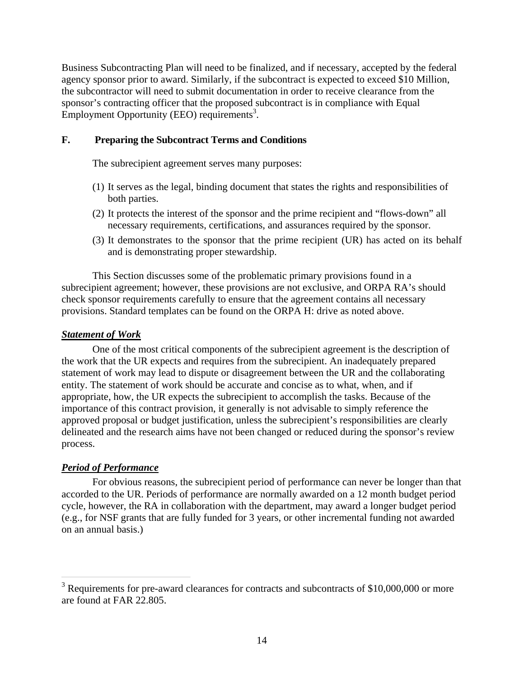Business Subcontracting Plan will need to be finalized, and if necessary, accepted by the federal agency sponsor prior to award. Similarly, if the subcontract is expected to exceed \$10 Million, the subcontractor will need to submit documentation in order to receive clearance from the sponsor's contracting officer that the proposed subcontract is in compliance with Equal Employment Opportunity (EEO) requirements<sup>3</sup>.

## **F. Preparing the Subcontract Terms and Conditions**

The subrecipient agreement serves many purposes:

- (1) It serves as the legal, binding document that states the rights and responsibilities of both parties.
- (2) It protects the interest of the sponsor and the prime recipient and "flows-down" all necessary requirements, certifications, and assurances required by the sponsor.
- (3) It demonstrates to the sponsor that the prime recipient (UR) has acted on its behalf and is demonstrating proper stewardship.

This Section discusses some of the problematic primary provisions found in a subrecipient agreement; however, these provisions are not exclusive, and ORPA RA's should check sponsor requirements carefully to ensure that the agreement contains all necessary provisions. Standard templates can be found on the ORPA H: drive as noted above.

## *Statement of Work*

One of the most critical components of the subrecipient agreement is the description of the work that the UR expects and requires from the subrecipient. An inadequately prepared statement of work may lead to dispute or disagreement between the UR and the collaborating entity. The statement of work should be accurate and concise as to what, when, and if appropriate, how, the UR expects the subrecipient to accomplish the tasks. Because of the importance of this contract provision, it generally is not advisable to simply reference the approved proposal or budget justification, unless the subrecipient's responsibilities are clearly delineated and the research aims have not been changed or reduced during the sponsor's review process.

## *Period of Performance*

For obvious reasons, the subrecipient period of performance can never be longer than that accorded to the UR. Periods of performance are normally awarded on a 12 month budget period cycle, however, the RA in collaboration with the department, may award a longer budget period (e.g., for NSF grants that are fully funded for 3 years, or other incremental funding not awarded on an annual basis.)

 $3$  Requirements for pre-award clearances for contracts and subcontracts of \$10,000,000 or more are found at FAR 22.805.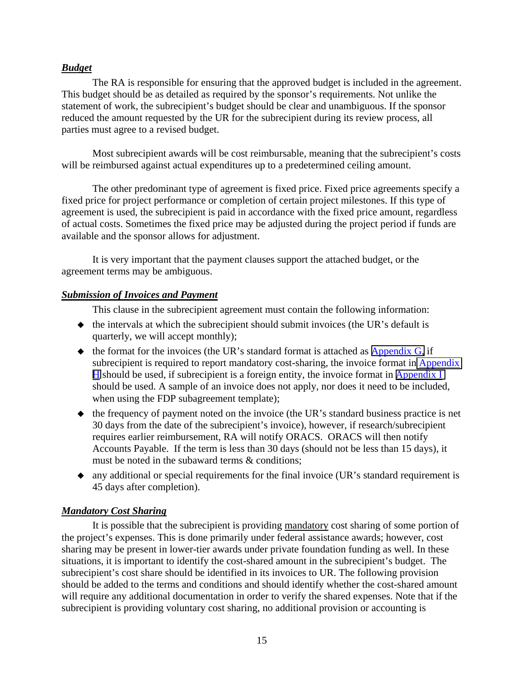## *Budget*

The RA is responsible for ensuring that the approved budget is included in the agreement. This budget should be as detailed as required by the sponsor's requirements. Not unlike the statement of work, the subrecipient's budget should be clear and unambiguous. If the sponsor reduced the amount requested by the UR for the subrecipient during its review process, all parties must agree to a revised budget.

Most subrecipient awards will be cost reimbursable, meaning that the subrecipient's costs will be reimbursed against actual expenditures up to a predetermined ceiling amount.

The other predominant type of agreement is fixed price. Fixed price agreements specify a fixed price for project performance or completion of certain project milestones. If this type of agreement is used, the subrecipient is paid in accordance with the fixed price amount, regardless of actual costs. Sometimes the fixed price may be adjusted during the project period if funds are available and the sponsor allows for adjustment.

It is very important that the payment clauses support the attached budget, or the agreement terms may be ambiguous.

# *Submission of Invoices and Payment*

This clause in the subrecipient agreement must contain the following information:

- $\blacklozenge$  the intervals at which the subrecipient should submit invoices (the UR's default is quarterly, we will accept monthly);
- $\bullet$  the format for the invoices (the UR's standard format is attached as [Appendix G,](http://www.rochester.edu/ORPA/manual/AppendixGstandardInvoice.pdf) if subrecipient is required to report mandatory cost-sharing, the invoice format in Appendix [H](http://www.rochester.edu/ORPA/manual/AppendixHcost-sharingInvoice.pdf) should be used, if subrecipient is a foreign entity, the invoice format in [Appendix I](http://www.rochester.edu/ORPA/manual/AppendixIforeigninvoice.pdf) should be used. A sample of an invoice does not apply, nor does it need to be included, when using the FDP subagreement template);
- $\bullet$  the frequency of payment noted on the invoice (the UR's standard business practice is net 30 days from the date of the subrecipient's invoice), however, if research/subrecipient requires earlier reimbursement, RA will notify ORACS. ORACS will then notify Accounts Payable. If the term is less than 30 days (should not be less than 15 days), it must be noted in the subaward terms & conditions;
- any additional or special requirements for the final invoice (UR's standard requirement is 45 days after completion).

# *Mandatory Cost Sharing*

It is possible that the subrecipient is providing mandatory cost sharing of some portion of the project's expenses. This is done primarily under federal assistance awards; however, cost sharing may be present in lower-tier awards under private foundation funding as well. In these situations, it is important to identify the cost-shared amount in the subrecipient's budget. The subrecipient's cost share should be identified in its invoices to UR. The following provision should be added to the terms and conditions and should identify whether the cost-shared amount will require any additional documentation in order to verify the shared expenses. Note that if the subrecipient is providing voluntary cost sharing, no additional provision or accounting is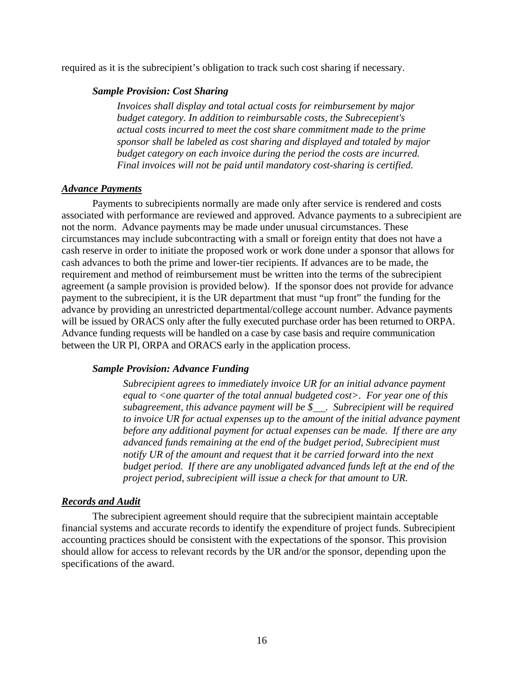required as it is the subrecipient's obligation to track such cost sharing if necessary.

#### *Sample Provision: Cost Sharing*

*Invoices shall display and total actual costs for reimbursement by major budget category. In addition to reimbursable costs, the Subrecepient's actual costs incurred to meet the cost share commitment made to the prime sponsor shall be labeled as cost sharing and displayed and totaled by major budget category on each invoice during the period the costs are incurred. Final invoices will not be paid until mandatory cost-sharing is certified.* 

#### *Advance Payments*

Payments to subrecipients normally are made only after service is rendered and costs associated with performance are reviewed and approved. Advance payments to a subrecipient are not the norm. Advance payments may be made under unusual circumstances. These circumstances may include subcontracting with a small or foreign entity that does not have a cash reserve in order to initiate the proposed work or work done under a sponsor that allows for cash advances to both the prime and lower-tier recipients. If advances are to be made, the requirement and method of reimbursement must be written into the terms of the subrecipient agreement (a sample provision is provided below). If the sponsor does not provide for advance payment to the subrecipient, it is the UR department that must "up front" the funding for the advance by providing an unrestricted departmental/college account number. Advance payments will be issued by ORACS only after the fully executed purchase order has been returned to ORPA. Advance funding requests will be handled on a case by case basis and require communication between the UR PI, ORPA and ORACS early in the application process.

#### *Sample Provision: Advance Funding*

*Subrecipient agrees to immediately invoice UR for an initial advance payment equal to <one quarter of the total annual budgeted cost>. For year one of this subagreement, this advance payment will be \$ . Subrecipient will be required to invoice UR for actual expenses up to the amount of the initial advance payment before any additional payment for actual expenses can be made. If there are any advanced funds remaining at the end of the budget period, Subrecipient must notify UR of the amount and request that it be carried forward into the next budget period. If there are any unobligated advanced funds left at the end of the project period, subrecipient will issue a check for that amount to UR.* 

#### *Records and Audit*

The subrecipient agreement should require that the subrecipient maintain acceptable financial systems and accurate records to identify the expenditure of project funds. Subrecipient accounting practices should be consistent with the expectations of the sponsor. This provision should allow for access to relevant records by the UR and/or the sponsor, depending upon the specifications of the award.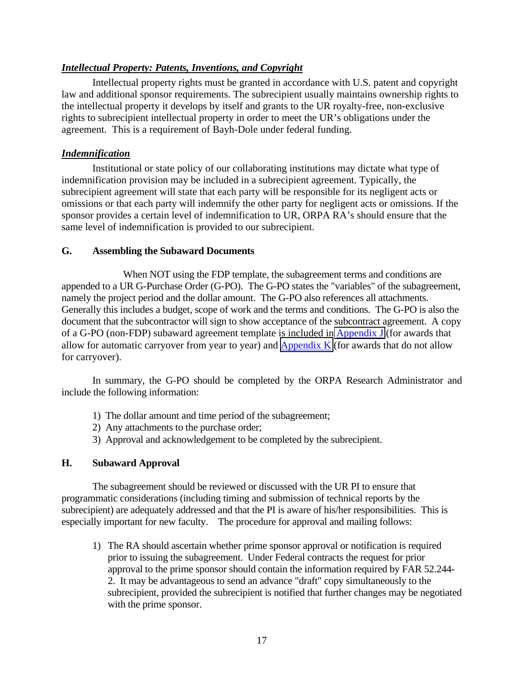# *Intellectual Property: Patents, Inventions, and Copyright*

Intellectual property rights must be granted in accordance with U.S. patent and copyright law and additional sponsor requirements. The subrecipient usually maintains ownership rights to the intellectual property it develops by itself and grants to the UR royalty-free, non-exclusive rights to subrecipient intellectual property in order to meet the UR's obligations under the agreement. This is a requirement of Bayh-Dole under federal funding.

## *Indemnification*

Institutional or state policy of our collaborating institutions may dictate what type of indemnification provision may be included in a subrecipient agreement. Typically, the subrecipient agreement will state that each party will be responsible for its negligent acts or omissions or that each party will indemnify the other party for negligent acts or omissions*.* If the sponsor provides a certain level of indemnification to UR, ORPA RA's should ensure that the same level of indemnification is provided to our subrecipient.

## **G. Assembling the Subaward Documents**

 When NOT using the FDP template, the subagreement terms and conditions are appended to a UR G-Purchase Order (G-PO). The G-PO states the "variables" of the subagreement, namely the project period and the dollar amount. The G-PO also references all attachments. Generally this includes a budget, scope of work and the terms and conditions. The G-PO is also the document that the subcontractor will sign to show acceptance of the subcontract agreement. A copy of a G-PO (non-FDP) subaward agreement template is included in [Appendix J](http://www.rochester.edu/ORPA/manual/AppendixJgPOcarryforward.pdf) (for awards that allow for automatic carryover from year to year) and Appendix  $K$  (for awards that do not allow for carryover).

 In summary, the G-PO should be completed by the ORPA Research Administrator and include the following information:

- 1) The dollar amount and time period of the subagreement;
- 2) Any attachments to the purchase order;
- 3) Approval and acknowledgement to be completed by the subrecipient.

# **H. Subaward Approval**

 The subagreement should be reviewed or discussed with the UR PI to ensure that programmatic considerations (including timing and submission of technical reports by the subrecipient) are adequately addressed and that the PI is aware of his/her responsibilities. This is especially important for new faculty. The procedure for approval and mailing follows:

1) The RA should ascertain whether prime sponsor approval or notification is required prior to issuing the subagreement. Under Federal contracts the request for prior approval to the prime sponsor should contain the information required by FAR 52.244- 2. It may be advantageous to send an advance "draft" copy simultaneously to the subrecipient, provided the subrecipient is notified that further changes may be negotiated with the prime sponsor.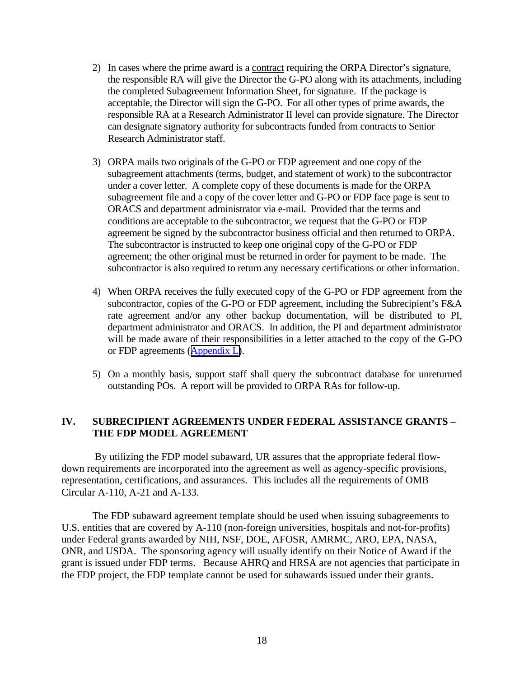- 2) In cases where the prime award is a contract requiring the ORPA Director's signature, the responsible RA will give the Director the G-PO along with its attachments, including the completed Subagreement Information Sheet, for signature. If the package is acceptable, the Director will sign the G-PO. For all other types of prime awards, the responsible RA at a Research Administrator II level can provide signature. The Director can designate signatory authority for subcontracts funded from contracts to Senior Research Administrator staff.
- 3) ORPA mails two originals of the G-PO or FDP agreement and one copy of the subagreement attachments (terms, budget, and statement of work) to the subcontractor under a cover letter. A complete copy of these documents is made for the ORPA subagreement file and a copy of the cover letter and G-PO or FDP face page is sent to ORACS and department administrator via e-mail. Provided that the terms and conditions are acceptable to the subcontractor, we request that the G-PO or FDP agreement be signed by the subcontractor business official and then returned to ORPA. The subcontractor is instructed to keep one original copy of the G-PO or FDP agreement; the other original must be returned in order for payment to be made. The subcontractor is also required to return any necessary certifications or other information.
- 4) When ORPA receives the fully executed copy of the G-PO or FDP agreement from the subcontractor, copies of the G-PO or FDP agreement, including the Subrecipient's F&A rate agreement and/or any other backup documentation, will be distributed to PI, department administrator and ORACS. In addition, the PI and department administrator will be made aware of their responsibilities in a letter attached to the copy of the G-PO or FDP agreements ([Appendix L\)](http://www.rochester.edu/ORPA/manual/AppendixLsubmonitoringLetterPI.pdf).
- 5) On a monthly basis, support staff shall query the subcontract database for unreturned outstanding POs. A report will be provided to ORPA RAs for follow-up.

## **IV. SUBRECIPIENT AGREEMENTS UNDER FEDERAL ASSISTANCE GRANTS – THE FDP MODEL AGREEMENT**

 By utilizing the FDP model subaward, UR assures that the appropriate federal flowdown requirements are incorporated into the agreement as well as agency-specific provisions, representation, certifications, and assurances. This includes all the requirements of OMB Circular A-110, A-21 and A-133.

The FDP subaward agreement template should be used when issuing subagreements to U.S. entities that are covered by A-110 (non-foreign universities, hospitals and not-for-profits) under Federal grants awarded by NIH, NSF, DOE, AFOSR, AMRMC, ARO, EPA, NASA, ONR, and USDA. The sponsoring agency will usually identify on their Notice of Award if the grant is issued under FDP terms. Because AHRQ and HRSA are not agencies that participate in the FDP project, the FDP template cannot be used for subawards issued under their grants.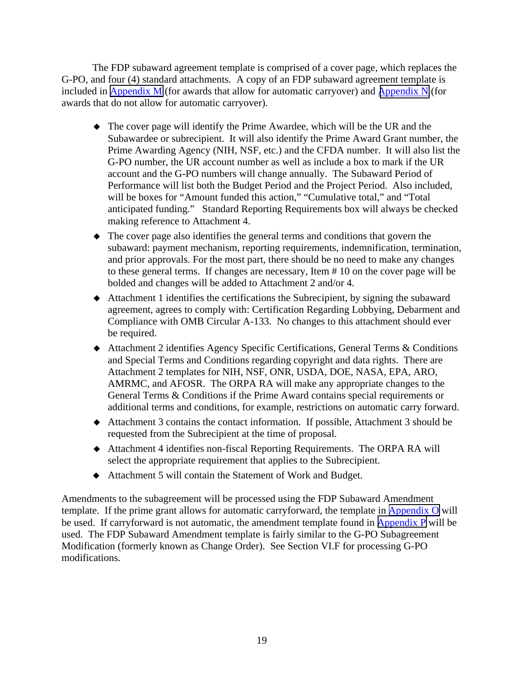The FDP subaward agreement template is comprised of a cover page, which replaces the G-PO, and four (4) standard attachments. A copy of an FDP subaward agreement template is included in [Appendix M](http://www.rochester.edu/ORPA/manual/AppendixMfdpCarryforward.pdf) (for awards that allow for automatic carryover) and Appendix  $N$  (for awards that do not allow for automatic carryover).

- The cover page will identify the Prime Awardee, which will be the UR and the Subawardee or subrecipient. It will also identify the Prime Award Grant number, the Prime Awarding Agency (NIH, NSF, etc.) and the CFDA number. It will also list the G-PO number, the UR account number as well as include a box to mark if the UR account and the G-PO numbers will change annually. The Subaward Period of Performance will list both the Budget Period and the Project Period. Also included, will be boxes for "Amount funded this action," "Cumulative total," and "Total anticipated funding." Standard Reporting Requirements box will always be checked making reference to Attachment 4.
- The cover page also identifies the general terms and conditions that govern the subaward: payment mechanism, reporting requirements, indemnification, termination, and prior approvals. For the most part, there should be no need to make any changes to these general terms. If changes are necessary, Item # 10 on the cover page will be bolded and changes will be added to Attachment 2 and/or 4.
- Attachment 1 identifies the certifications the Subrecipient, by signing the subaward agreement, agrees to comply with: Certification Regarding Lobbying, Debarment and Compliance with OMB Circular A-133. No changes to this attachment should ever be required.
- Attachment 2 identifies Agency Specific Certifications, General Terms & Conditions and Special Terms and Conditions regarding copyright and data rights. There are Attachment 2 templates for NIH, NSF, ONR, USDA, DOE, NASA, EPA, ARO, AMRMC, and AFOSR. The ORPA RA will make any appropriate changes to the General Terms & Conditions if the Prime Award contains special requirements or additional terms and conditions, for example, restrictions on automatic carry forward.
- Attachment 3 contains the contact information. If possible, Attachment 3 should be requested from the Subrecipient at the time of proposal.
- Attachment 4 identifies non-fiscal Reporting Requirements. The ORPA RA will select the appropriate requirement that applies to the Subrecipient.
- Attachment 5 will contain the Statement of Work and Budget.

Amendments to the subagreement will be processed using the FDP Subaward Amendment template. If the prime grant allows for automatic carryforward, the template in [Appendix O](http://www.rochester.edu/ORPA/manual/AppendixOfdpAmendmentCarryforward.pdf) will be used. If carryforward is not automatic, the amendment template found in [Appendix P](http://www.rochester.edu/ORPA/manual/AppendixPfdpAmendmentWOcarryforward.pdf) will be used. The FDP Subaward Amendment template is fairly similar to the G-PO Subagreement Modification (formerly known as Change Order). See Section VI.F for processing G-PO modifications.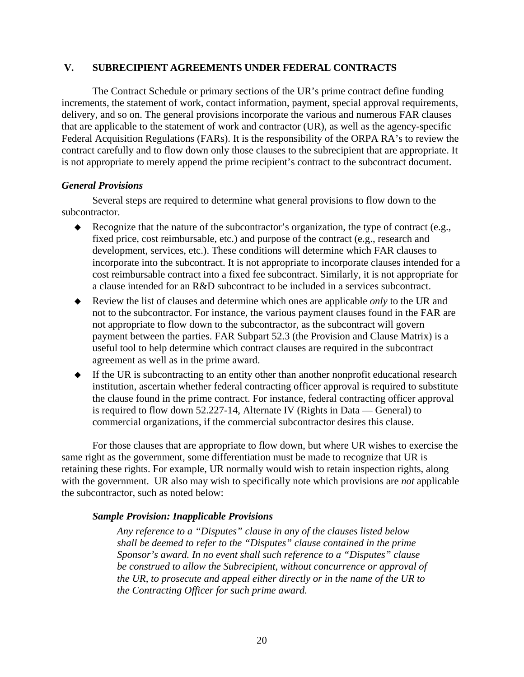#### **V. SUBRECIPIENT AGREEMENTS UNDER FEDERAL CONTRACTS**

The Contract Schedule or primary sections of the UR's prime contract define funding increments, the statement of work, contact information, payment, special approval requirements, delivery, and so on. The general provisions incorporate the various and numerous FAR clauses that are applicable to the statement of work and contractor (UR), as well as the agency-specific Federal Acquisition Regulations (FARs). It is the responsibility of the ORPA RA's to review the contract carefully and to flow down only those clauses to the subrecipient that are appropriate. It is not appropriate to merely append the prime recipient's contract to the subcontract document.

#### *General Provisions*

Several steps are required to determine what general provisions to flow down to the subcontractor.

- Recognize that the nature of the subcontractor's organization, the type of contract (e.g., fixed price, cost reimbursable, etc.) and purpose of the contract (e.g., research and development, services, etc.). These conditions will determine which FAR clauses to incorporate into the subcontract. It is not appropriate to incorporate clauses intended for a cost reimbursable contract into a fixed fee subcontract. Similarly, it is not appropriate for a clause intended for an R&D subcontract to be included in a services subcontract.
- Review the list of clauses and determine which ones are applicable *only* to the UR and not to the subcontractor. For instance, the various payment clauses found in the FAR are not appropriate to flow down to the subcontractor, as the subcontract will govern payment between the parties. FAR Subpart 52.3 (the Provision and Clause Matrix) is a useful tool to help determine which contract clauses are required in the subcontract agreement as well as in the prime award.
- If the UR is subcontracting to an entity other than another nonprofit educational research institution, ascertain whether federal contracting officer approval is required to substitute the clause found in the prime contract. For instance, federal contracting officer approval is required to flow down 52.227-14, Alternate IV (Rights in Data — General) to commercial organizations, if the commercial subcontractor desires this clause.

For those clauses that are appropriate to flow down, but where UR wishes to exercise the same right as the government, some differentiation must be made to recognize that UR is retaining these rights. For example, UR normally would wish to retain inspection rights, along with the government. UR also may wish to specifically note which provisions are *not* applicable the subcontractor, such as noted below:

## *Sample Provision: Inapplicable Provisions*

*Any reference to a "Disputes" clause in any of the clauses listed below shall be deemed to refer to the "Disputes" clause contained in the prime Sponsor's award. In no event shall such reference to a "Disputes" clause be construed to allow the Subrecipient, without concurrence or approval of the UR, to prosecute and appeal either directly or in the name of the UR to the Contracting Officer for such prime award.*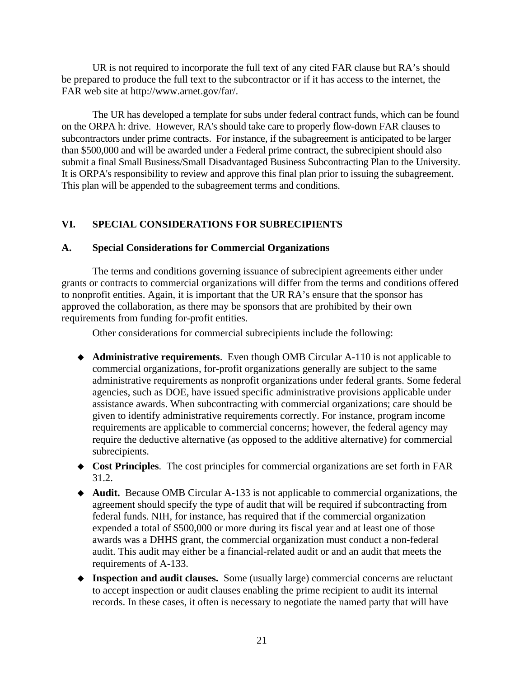UR is not required to incorporate the full text of any cited FAR clause but RA's should be prepared to produce the full text to the subcontractor or if it has access to the internet, the FAR web site at http://www.arnet.gov/far/.

The UR has developed a template for subs under federal contract funds, which can be found on the ORPA h: drive. However, RA's should take care to properly flow-down FAR clauses to subcontractors under prime contracts. For instance, if the subagreement is anticipated to be larger than \$500,000 and will be awarded under a Federal prime contract, the subrecipient should also submit a final Small Business/Small Disadvantaged Business Subcontracting Plan to the University. It is ORPA's responsibility to review and approve this final plan prior to issuing the subagreement. This plan will be appended to the subagreement terms and conditions.

# **VI. SPECIAL CONSIDERATIONS FOR SUBRECIPIENTS**

# **A. Special Considerations for Commercial Organizations**

The terms and conditions governing issuance of subrecipient agreements either under grants or contracts to commercial organizations will differ from the terms and conditions offered to nonprofit entities. Again, it is important that the UR RA's ensure that the sponsor has approved the collaboration, as there may be sponsors that are prohibited by their own requirements from funding for-profit entities.

Other considerations for commercial subrecipients include the following:

- **Administrative requirements**. Even though OMB Circular A-110 is not applicable to commercial organizations, for-profit organizations generally are subject to the same administrative requirements as nonprofit organizations under federal grants. Some federal agencies, such as DOE, have issued specific administrative provisions applicable under assistance awards. When subcontracting with commercial organizations; care should be given to identify administrative requirements correctly. For instance, program income requirements are applicable to commercial concerns; however, the federal agency may require the deductive alternative (as opposed to the additive alternative) for commercial subrecipients.
- **Cost Principles**. The cost principles for commercial organizations are set forth in FAR 31.2.
- **Audit.** Because OMB Circular A-133 is not applicable to commercial organizations, the agreement should specify the type of audit that will be required if subcontracting from federal funds. NIH, for instance, has required that if the commercial organization expended a total of \$500,000 or more during its fiscal year and at least one of those awards was a DHHS grant, the commercial organization must conduct a non-federal audit. This audit may either be a financial-related audit or and an audit that meets the requirements of A-133.
- **Inspection and audit clauses.** Some (usually large) commercial concerns are reluctant to accept inspection or audit clauses enabling the prime recipient to audit its internal records. In these cases, it often is necessary to negotiate the named party that will have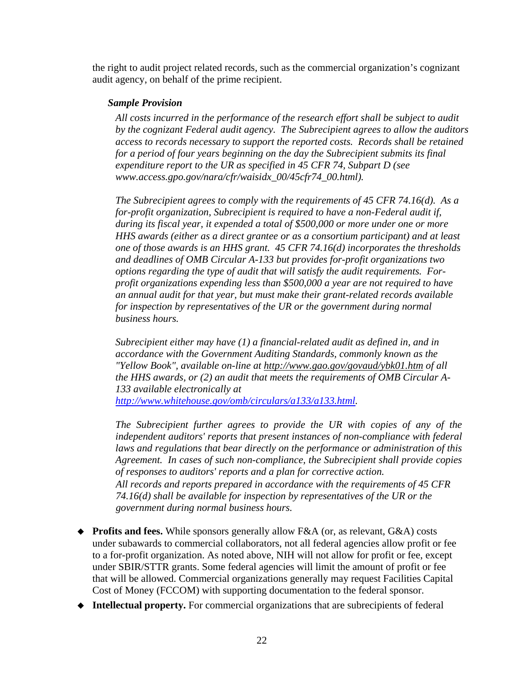the right to audit project related records, such as the commercial organization's cognizant audit agency, on behalf of the prime recipient.

# *Sample Provision*

*All costs incurred in the performance of the research effort shall be subject to audit by the cognizant Federal audit agency. The Subrecipient agrees to allow the auditors access to records necessary to support the reported costs. Records shall be retained for a period of four years beginning on the day the Subrecipient submits its final expenditure report to the UR as specified in 45 CFR 74, Subpart D (see www.access.gpo.gov/nara/cfr/waisidx\_00/45cfr74\_00.html).*

*The Subrecipient agrees to comply with the requirements of 45 CFR 74.16(d). As a for-profit organization, Subrecipient is required to have a non-Federal audit if, during its fiscal year, it expended a total of \$500,000 or more under one or more HHS awards (either as a direct grantee or as a consortium participant) and at least one of those awards is an HHS grant. 45 CFR 74.16(d) incorporates the thresholds and deadlines of OMB Circular A-133 but provides for-profit organizations two options regarding the type of audit that will satisfy the audit requirements. Forprofit organizations expending less than \$500,000 a year are not required to have an annual audit for that year, but must make their grant-related records available for inspection by representatives of the UR or the government during normal business hours.* 

*Subrecipient either may have (1) a financial-related audit as defined in, and in accordance with the Government Auditing Standards, commonly known as the "Yellow Book", available on-line at<http://www.gao.gov/govaud/ybk01.htm>of all the HHS awards, or (2) an audit that meets the requirements of OMB Circular A-133 available electronically at [http://www.whitehouse.gov/omb/circulars/a133/a133.html](http://www.whitehouse.gov/omb/circulars/a133/a133.html.)).* 

*The Subrecipient further agrees to provide the UR with copies of any of the independent auditors' reports that present instances of non-compliance with federal laws and regulations that bear directly on the performance or administration of this Agreement. In cases of such non-compliance, the Subrecipient shall provide copies of responses to auditors' reports and a plan for corrective action. All records and reports prepared in accordance with the requirements of 45 CFR 74.16(d) shall be available for inspection by representatives of the UR or the government during normal business hours.*

- ◆ **Profits and fees.** While sponsors generally allow F&A (or, as relevant, G&A) costs under subawards to commercial collaborators, not all federal agencies allow profit or fee to a for-profit organization. As noted above, NIH will not allow for profit or fee, except under SBIR/STTR grants. Some federal agencies will limit the amount of profit or fee that will be allowed. Commercial organizations generally may request Facilities Capital Cost of Money (FCCOM) with supporting documentation to the federal sponsor.
- **Intellectual property.** For commercial organizations that are subrecipients of federal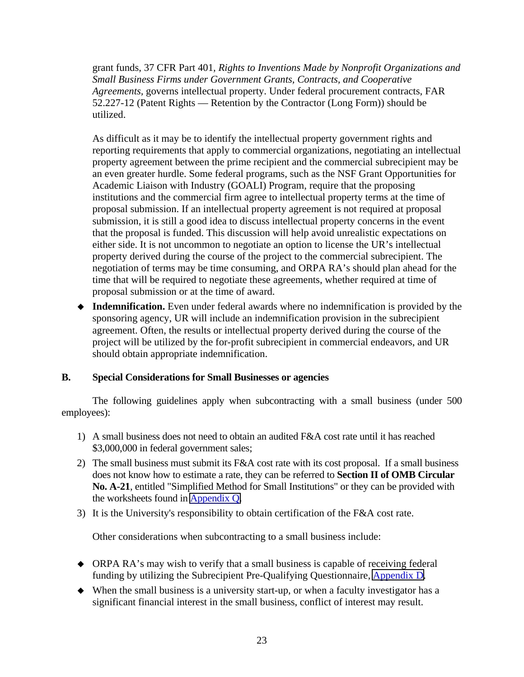grant funds, 37 CFR Part 401*, Rights to Inventions Made by Nonprofit Organizations and Small Business Firms under Government Grants, Contracts, and Cooperative Agreements,* governs intellectual property. Under federal procurement contracts, FAR 52.227-12 (Patent Rights — Retention by the Contractor (Long Form)) should be utilized.

 As difficult as it may be to identify the intellectual property government rights and reporting requirements that apply to commercial organizations, negotiating an intellectual property agreement between the prime recipient and the commercial subrecipient may be an even greater hurdle. Some federal programs, such as the NSF Grant Opportunities for Academic Liaison with Industry (GOALI) Program, require that the proposing institutions and the commercial firm agree to intellectual property terms at the time of proposal submission. If an intellectual property agreement is not required at proposal submission, it is still a good idea to discuss intellectual property concerns in the event that the proposal is funded. This discussion will help avoid unrealistic expectations on either side. It is not uncommon to negotiate an option to license the UR's intellectual property derived during the course of the project to the commercial subrecipient. The negotiation of terms may be time consuming, and ORPA RA's should plan ahead for the time that will be required to negotiate these agreements, whether required at time of proposal submission or at the time of award.

 **Indemnification.** Even under federal awards where no indemnification is provided by the sponsoring agency, UR will include an indemnification provision in the subrecipient agreement. Often, the results or intellectual property derived during the course of the project will be utilized by the for-profit subrecipient in commercial endeavors, and UR should obtain appropriate indemnification.

# **B. Special Considerations for Small Businesses or agencies**

 The following guidelines apply when subcontracting with a small business (under 500 employees):

- 1) A small business does not need to obtain an audited F&A cost rate until it has reached \$3,000,000 in federal government sales;
- 2) The small business must submit its  $F&A$  cost rate with its cost proposal. If a small business does not know how to estimate a rate, they can be referred to **Section II of OMB Circular No. A-21**, entitled "Simplified Method for Small Institutions" or they can be provided with the worksheets found in [Appendix Q.](http://www.rochester.edu/ORPA/manual/AppendixQworksheetFBandFArate.xls)
- 3) It is the University's responsibility to obtain certification of the F&A cost rate.

Other considerations when subcontracting to a small business include:

- ORPA RA's may wish to verify that a small business is capable of receiving federal funding by utilizing the Subrecipient Pre-Qualifying Questionnaire, [Appendix D.](http://www.rochester.edu/ORPA/manual/AppendixDprequalifyingQuestionnaire.pdf)
- $\blacklozenge$  When the small business is a university start-up, or when a faculty investigator has a significant financial interest in the small business, conflict of interest may result.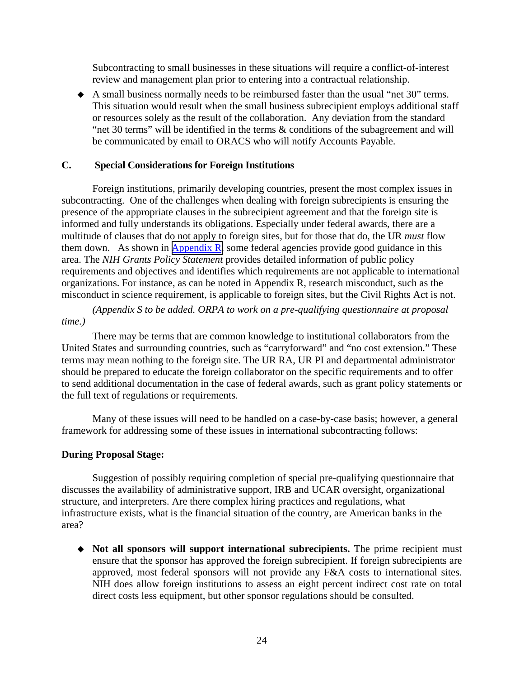Subcontracting to small businesses in these situations will require a conflict-of-interest review and management plan prior to entering into a contractual relationship.

 A small business normally needs to be reimbursed faster than the usual "net 30" terms. This situation would result when the small business subrecipient employs additional staff or resources solely as the result of the collaboration. Any deviation from the standard "net 30 terms" will be identified in the terms & conditions of the subagreement and will be communicated by email to ORACS who will notify Accounts Payable.

# **C. Special Considerations for Foreign Institutions**

Foreign institutions, primarily developing countries, present the most complex issues in subcontracting. One of the challenges when dealing with foreign subrecipients is ensuring the presence of the appropriate clauses in the subrecipient agreement and that the foreign site is informed and fully understands its obligations. Especially under federal awards, there are a multitude of clauses that do not apply to foreign sites, but for those that do, the UR *must* flow them down. As shown in  $\Delta$ ppendix R, some federal agencies provide good guidance in this area. The *NIH Grants Policy Statement* provides detailed information of public policy requirements and objectives and identifies which requirements are not applicable to international organizations. For instance, as can be noted in Appendix R, research misconduct, such as the misconduct in science requirement, is applicable to foreign sites, but the Civil Rights Act is not.

*(Appendix S to be added. ORPA to work on a pre-qualifying questionnaire at proposal time.)* 

There may be terms that are common knowledge to institutional collaborators from the United States and surrounding countries, such as "carryforward" and "no cost extension." These terms may mean nothing to the foreign site. The UR RA, UR PI and departmental administrator should be prepared to educate the foreign collaborator on the specific requirements and to offer to send additional documentation in the case of federal awards, such as grant policy statements or the full text of regulations or requirements.

Many of these issues will need to be handled on a case-by-case basis; however, a general framework for addressing some of these issues in international subcontracting follows:

## **During Proposal Stage:**

Suggestion of possibly requiring completion of special pre-qualifying questionnaire that discusses the availability of administrative support, IRB and UCAR oversight, organizational structure, and interpreters. Are there complex hiring practices and regulations, what infrastructure exists, what is the financial situation of the country, are American banks in the area?

 **Not all sponsors will support international subrecipients.** The prime recipient must ensure that the sponsor has approved the foreign subrecipient. If foreign subrecipients are approved, most federal sponsors will not provide any F&A costs to international sites. NIH does allow foreign institutions to assess an eight percent indirect cost rate on total direct costs less equipment, but other sponsor regulations should be consulted.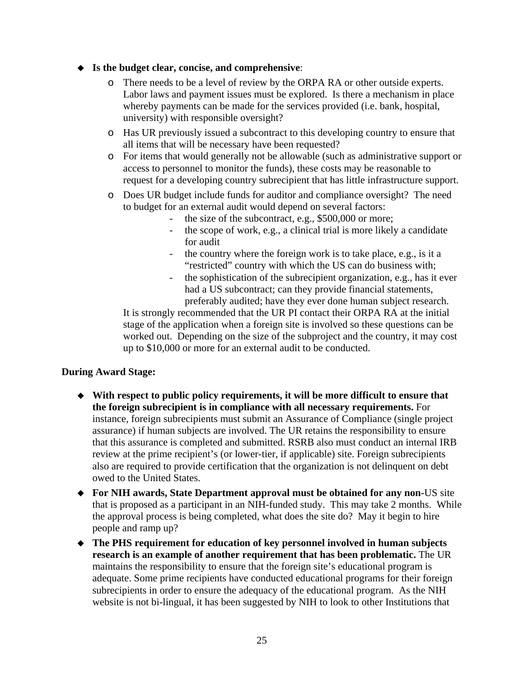# **Is the budget clear, concise, and comprehensive**:

- o There needs to be a level of review by the ORPA RA or other outside experts. Labor laws and payment issues must be explored. Is there a mechanism in place whereby payments can be made for the services provided (i.e. bank, hospital, university) with responsible oversight?
- o Has UR previously issued a subcontract to this developing country to ensure that all items that will be necessary have been requested?
- o For items that would generally not be allowable (such as administrative support or access to personnel to monitor the funds), these costs may be reasonable to request for a developing country subrecipient that has little infrastructure support.
- o Does UR budget include funds for auditor and compliance oversight? The need to budget for an external audit would depend on several factors:
	- the size of the subcontract, e.g., \$500,000 or more;
	- the scope of work, e.g., a clinical trial is more likely a candidate for audit
	- the country where the foreign work is to take place, e.g., is it a "restricted" country with which the US can do business with;
	- the sophistication of the subrecipient organization, e.g., has it ever had a US subcontract; can they provide financial statements, preferably audited; have they ever done human subject research.

It is strongly recommended that the UR PI contact their ORPA RA at the initial stage of the application when a foreign site is involved so these questions can be worked out. Depending on the size of the subproject and the country, it may cost up to \$10,000 or more for an external audit to be conducted.

# **During Award Stage:**

- **With respect to public policy requirements, it will be more difficult to ensure that the foreign subrecipient is in compliance with all necessary requirements.** For instance, foreign subrecipients must submit an Assurance of Compliance (single project assurance) if human subjects are involved. The UR retains the responsibility to ensure that this assurance is completed and submitted. RSRB also must conduct an internal IRB review at the prime recipient's (or lower-tier, if applicable) site. Foreign subrecipients also are required to provide certification that the organization is not delinquent on debt owed to the United States.
- **For NIH awards, State Department approval must be obtained for any non-**US site that is proposed as a participant in an NIH-funded study. This may take 2 months. While the approval process is being completed, what does the site do? May it begin to hire people and ramp up?
- **The PHS requirement for education of key personnel involved in human subjects research is an example of another requirement that has been problematic.** The UR maintains the responsibility to ensure that the foreign site's educational program is adequate. Some prime recipients have conducted educational programs for their foreign subrecipients in order to ensure the adequacy of the educational program. As the NIH website is not bi-lingual, it has been suggested by NIH to look to other Institutions that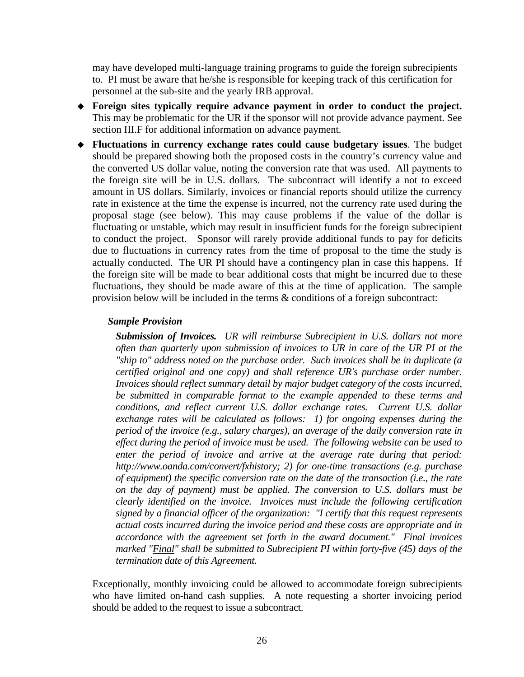may have developed multi-language training programs to guide the foreign subrecipients to. PI must be aware that he/she is responsible for keeping track of this certification for personnel at the sub-site and the yearly IRB approval.

- **Foreign sites typically require advance payment in order to conduct the project.**  This may be problematic for the UR if the sponsor will not provide advance payment. See section III.F for additional information on advance payment.
- **Fluctuations in currency exchange rates could cause budgetary issues**. The budget should be prepared showing both the proposed costs in the country's currency value and the converted US dollar value, noting the conversion rate that was used. All payments to the foreign site will be in U.S. dollars. The subcontract will identify a not to exceed amount in US dollars. Similarly, invoices or financial reports should utilize the currency rate in existence at the time the expense is incurred, not the currency rate used during the proposal stage (see below). This may cause problems if the value of the dollar is fluctuating or unstable, which may result in insufficient funds for the foreign subrecipient to conduct the project. Sponsor will rarely provide additional funds to pay for deficits due to fluctuations in currency rates from the time of proposal to the time the study is actually conducted. The UR PI should have a contingency plan in case this happens. If the foreign site will be made to bear additional costs that might be incurred due to these fluctuations, they should be made aware of this at the time of application. The sample provision below will be included in the terms & conditions of a foreign subcontract:

## *Sample Provision*

*Submission of Invoices. UR will reimburse Subrecipient in U.S. dollars not more often than quarterly upon submission of invoices to UR in care of the UR PI at the "ship to" address noted on the purchase order. Such invoices shall be in duplicate (a certified original and one copy) and shall reference UR's purchase order number. Invoices should reflect summary detail by major budget category of the costs incurred, be submitted in comparable format to the example appended to these terms and conditions, and reflect current U.S. dollar exchange rates. Current U.S. dollar exchange rates will be calculated as follows: 1) for ongoing expenses during the period of the invoice (e.g., salary charges), an average of the daily conversion rate in effect during the period of invoice must be used. The following website can be used to enter the period of invoice and arrive at the average rate during that period: http://www.oanda.com/convert/fxhistory; 2) for one-time transactions (e.g. purchase of equipment) the specific conversion rate on the date of the transaction (i.e., the rate on the day of payment) must be applied. The conversion to U.S. dollars must be clearly identified on the invoice. Invoices must include the following certification signed by a financial officer of the organization: "I certify that this request represents actual costs incurred during the invoice period and these costs are appropriate and in accordance with the agreement set forth in the award document." Final invoices marked "Final" shall be submitted to Subrecipient PI within forty-five (45) days of the termination date of this Agreement.* 

Exceptionally, monthly invoicing could be allowed to accommodate foreign subrecipients who have limited on-hand cash supplies. A note requesting a shorter invoicing period should be added to the request to issue a subcontract.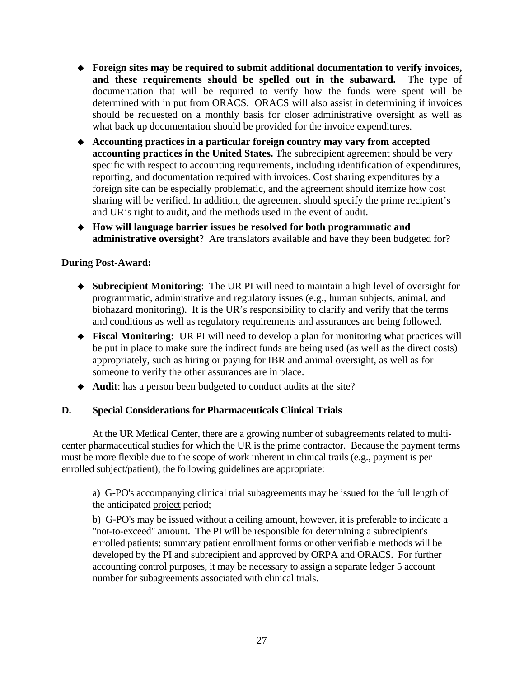- **Foreign sites may be required to submit additional documentation to verify invoices, and these requirements should be spelled out in the subaward.** The type of documentation that will be required to verify how the funds were spent will be determined with in put from ORACS. ORACS will also assist in determining if invoices should be requested on a monthly basis for closer administrative oversight as well as what back up documentation should be provided for the invoice expenditures.
- **Accounting practices in a particular foreign country may vary from accepted accounting practices in the United States.** The subrecipient agreement should be very specific with respect to accounting requirements, including identification of expenditures, reporting, and documentation required with invoices. Cost sharing expenditures by a foreign site can be especially problematic, and the agreement should itemize how cost sharing will be verified. In addition, the agreement should specify the prime recipient's and UR's right to audit, and the methods used in the event of audit.
- **How will language barrier issues be resolved for both programmatic and administrative oversight**? Are translators available and have they been budgeted for?

# **During Post-Award:**

- **Subrecipient Monitoring**: The UR PI will need to maintain a high level of oversight for programmatic, administrative and regulatory issues (e.g., human subjects, animal, and biohazard monitoring). It is the UR's responsibility to clarify and verify that the terms and conditions as well as regulatory requirements and assurances are being followed.
- **Fiscal Monitoring:** UR PI will need to develop a plan for monitoring **w**hat practices will be put in place to make sure the indirect funds are being used (as well as the direct costs) appropriately, such as hiring or paying for IBR and animal oversight, as well as for someone to verify the other assurances are in place.
- **Audit**: has a person been budgeted to conduct audits at the site?

# **D. Special Considerations for Pharmaceuticals Clinical Trials**

 At the UR Medical Center, there are a growing number of subagreements related to multicenter pharmaceutical studies for which the UR is the prime contractor. Because the payment terms must be more flexible due to the scope of work inherent in clinical trails (e.g., payment is per enrolled subject/patient), the following guidelines are appropriate:

 a) G-PO's accompanying clinical trial subagreements may be issued for the full length of the anticipated project period;

 b) G-PO's may be issued without a ceiling amount, however, it is preferable to indicate a "not-to-exceed" amount. The PI will be responsible for determining a subrecipient's enrolled patients; summary patient enrollment forms or other verifiable methods will be developed by the PI and subrecipient and approved by ORPA and ORACS. For further accounting control purposes, it may be necessary to assign a separate ledger 5 account number for subagreements associated with clinical trials.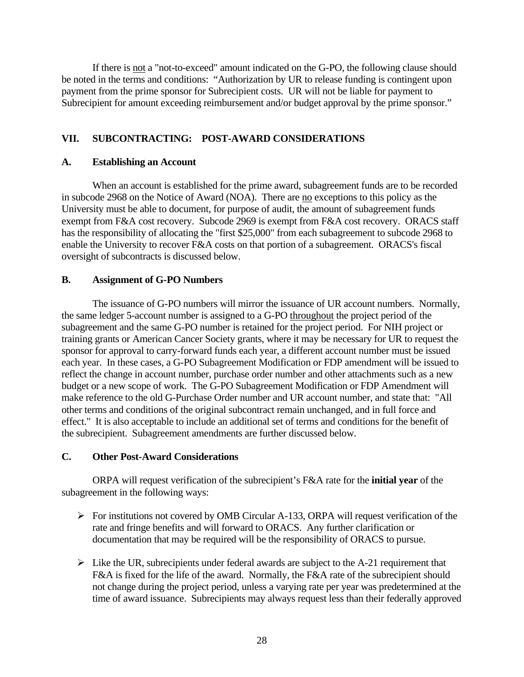If there is not a "not-to-exceed" amount indicated on the G-PO, the following clause should be noted in the terms and conditions: "Authorization by UR to release funding is contingent upon payment from the prime sponsor for Subrecipient costs. UR will not be liable for payment to Subrecipient for amount exceeding reimbursement and/or budget approval by the prime sponsor."

# **VII. SUBCONTRACTING: POST-AWARD CONSIDERATIONS**

#### **A. Establishing an Account**

 When an account is established for the prime award, subagreement funds are to be recorded in subcode 2968 on the Notice of Award (NOA). There are no exceptions to this policy as the University must be able to document, for purpose of audit, the amount of subagreement funds exempt from F&A cost recovery. Subcode 2969 is exempt from F&A cost recovery. ORACS staff has the responsibility of allocating the "first \$25,000" from each subagreement to subcode 2968 to enable the University to recover F&A costs on that portion of a subagreement. ORACS's fiscal oversight of subcontracts is discussed below.

#### **B. Assignment of G-PO Numbers**

 The issuance of G-PO numbers will mirror the issuance of UR account numbers. Normally, the same ledger 5-account number is assigned to a G-PO throughout the project period of the subagreement and the same G-PO number is retained for the project period. For NIH project or training grants or American Cancer Society grants, where it may be necessary for UR to request the sponsor for approval to carry-forward funds each year, a different account number must be issued each year. In these cases, a G-PO Subagreement Modification or FDP amendment will be issued to reflect the change in account number, purchase order number and other attachments such as a new budget or a new scope of work. The G-PO Subagreement Modification or FDP Amendment will make reference to the old G-Purchase Order number and UR account number, and state that: "All other terms and conditions of the original subcontract remain unchanged, and in full force and effect." It is also acceptable to include an additional set of terms and conditions for the benefit of the subrecipient. Subagreement amendments are further discussed below.

#### **C. Other Post-Award Considerations**

 ORPA will request verification of the subrecipient's F&A rate for the **initial year** of the subagreement in the following ways:

- $\triangleright$  For institutions not covered by OMB Circular A-133, ORPA will request verification of the rate and fringe benefits and will forward to ORACS. Any further clarification or documentation that may be required will be the responsibility of ORACS to pursue.
- $\triangleright$  Like the UR, subrecipients under federal awards are subject to the A-21 requirement that F&A is fixed for the life of the award. Normally, the F&A rate of the subrecipient should not change during the project period, unless a varying rate per year was predetermined at the time of award issuance. Subrecipients may always request less than their federally approved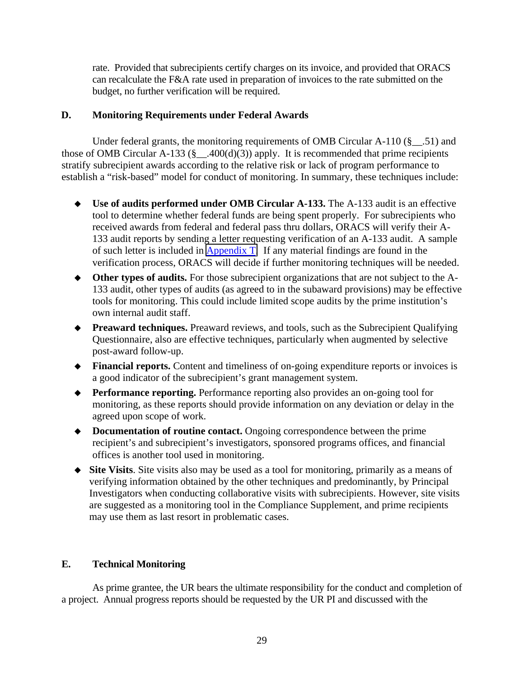rate. Provided that subrecipients certify charges on its invoice, and provided that ORACS can recalculate the F&A rate used in preparation of invoices to the rate submitted on the budget, no further verification will be required.

## **D. Monitoring Requirements under Federal Awards**

Under federal grants, the monitoring requirements of OMB Circular A-110  $(\S$  . 51) and those of OMB Circular A-133 ( $\S$  .400(d)(3)) apply. It is recommended that prime recipients stratify subrecipient awards according to the relative risk or lack of program performance to establish a "risk-based" model for conduct of monitoring. In summary, these techniques include:

- **Use of audits performed under OMB Circular A-133.** The A-133 audit is an effective tool to determine whether federal funds are being spent properly. For subrecipients who received awards from federal and federal pass thru dollars, ORACS will verify their A-133 audit reports by sending a letter requesting verification of an A-133 audit. A sample of such letter is included in [Appendix T.](http://www.rochester.edu/ORPA/manual/AppendixTa133RequestSample.pdf) If any material findings are found in the verification process, ORACS will decide if further monitoring techniques will be needed.
- **Other types of audits.** For those subrecipient organizations that are not subject to the A-133 audit, other types of audits (as agreed to in the subaward provisions) may be effective tools for monitoring. This could include limited scope audits by the prime institution's own internal audit staff.
- **Preaward techniques.** Preaward reviews, and tools, such as the Subrecipient Qualifying Questionnaire, also are effective techniques, particularly when augmented by selective post-award follow-up.
- **Financial reports.** Content and timeliness of on-going expenditure reports or invoices is a good indicator of the subrecipient's grant management system.
- **Performance reporting.** Performance reporting also provides an on-going tool for monitoring, as these reports should provide information on any deviation or delay in the agreed upon scope of work.
- **Documentation of routine contact.** Ongoing correspondence between the prime recipient's and subrecipient's investigators, sponsored programs offices, and financial offices is another tool used in monitoring.
- **Site Visits**. Site visits also may be used as a tool for monitoring, primarily as a means of verifying information obtained by the other techniques and predominantly, by Principal Investigators when conducting collaborative visits with subrecipients. However, site visits are suggested as a monitoring tool in the Compliance Supplement, and prime recipients may use them as last resort in problematic cases.

# **E. Technical Monitoring**

 As prime grantee, the UR bears the ultimate responsibility for the conduct and completion of a project. Annual progress reports should be requested by the UR PI and discussed with the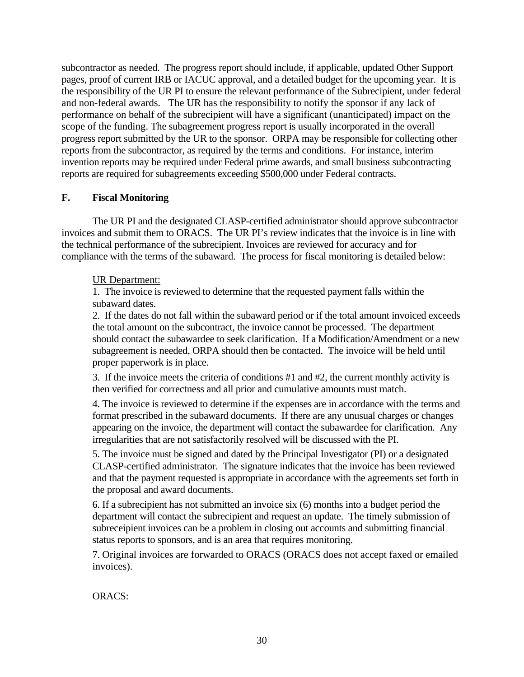subcontractor as needed. The progress report should include, if applicable, updated Other Support pages, proof of current IRB or IACUC approval, and a detailed budget for the upcoming year. It is the responsibility of the UR PI to ensure the relevant performance of the Subrecipient, under federal and non-federal awards. The UR has the responsibility to notify the sponsor if any lack of performance on behalf of the subrecipient will have a significant (unanticipated) impact on the scope of the funding. The subagreement progress report is usually incorporated in the overall progress report submitted by the UR to the sponsor. ORPA may be responsible for collecting other reports from the subcontractor, as required by the terms and conditions. For instance, interim invention reports may be required under Federal prime awards, and small business subcontracting reports are required for subagreements exceeding \$500,000 under Federal contracts.

# **F. Fiscal Monitoring**

 The UR PI and the designated CLASP-certified administrator should approve subcontractor invoices and submit them to ORACS. The UR PI's review indicates that the invoice is in line with the technical performance of the subrecipient. Invoices are reviewed for accuracy and for compliance with the terms of the subaward. The process for fiscal monitoring is detailed below:

# UR Department:

1. The invoice is reviewed to determine that the requested payment falls within the subaward dates.

 2. If the dates do not fall within the subaward period or if the total amount invoiced exceeds the total amount on the subcontract, the invoice cannot be processed. The department should contact the subawardee to seek clarification. If a Modification/Amendment or a new subagreement is needed, ORPA should then be contacted. The invoice will be held until proper paperwork is in place.

 3. If the invoice meets the criteria of conditions #1 and #2, the current monthly activity is then verified for correctness and all prior and cumulative amounts must match.

 4. The invoice is reviewed to determine if the expenses are in accordance with the terms and format prescribed in the subaward documents. If there are any unusual charges or changes appearing on the invoice, the department will contact the subawardee for clarification. Any irregularities that are not satisfactorily resolved will be discussed with the PI.

 5. The invoice must be signed and dated by the Principal Investigator (PI) or a designated CLASP-certified administrator. The signature indicates that the invoice has been reviewed and that the payment requested is appropriate in accordance with the agreements set forth in the proposal and award documents.

 6. If a subrecipient has not submitted an invoice six (6) months into a budget period the department will contact the subrecipient and request an update. The timely submission of subreceipient invoices can be a problem in closing out accounts and submitting financial status reports to sponsors, and is an area that requires monitoring.

 7. Original invoices are forwarded to ORACS (ORACS does not accept faxed or emailed invoices).

# ORACS: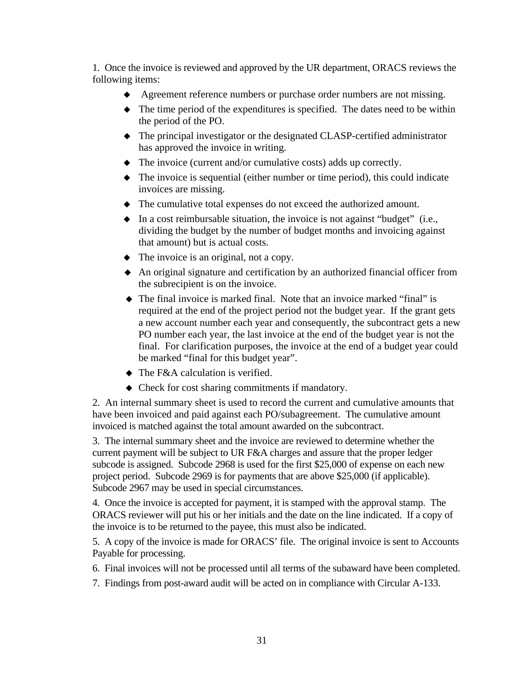1. Once the invoice is reviewed and approved by the UR department, ORACS reviews the following items:

- Agreement reference numbers or purchase order numbers are not missing.
- The time period of the expenditures is specified. The dates need to be within the period of the PO.
- The principal investigator or the designated CLASP-certified administrator has approved the invoice in writing.
- The invoice (current and/or cumulative costs) adds up correctly.
- The invoice is sequential (either number or time period), this could indicate invoices are missing.
- The cumulative total expenses do not exceed the authorized amount.
- In a cost reimbursable situation, the invoice is not against "budget" (i.e., dividing the budget by the number of budget months and invoicing against that amount) but is actual costs.
- The invoice is an original, not a copy.
- An original signature and certification by an authorized financial officer from the subrecipient is on the invoice.
- The final invoice is marked final. Note that an invoice marked "final" is required at the end of the project period not the budget year. If the grant gets a new account number each year and consequently, the subcontract gets a new PO number each year, the last invoice at the end of the budget year is not the final. For clarification purposes, the invoice at the end of a budget year could be marked "final for this budget year".
- The F&A calculation is verified.
- Check for cost sharing commitments if mandatory.

2. An internal summary sheet is used to record the current and cumulative amounts that have been invoiced and paid against each PO/subagreement. The cumulative amount invoiced is matched against the total amount awarded on the subcontract.

 3. The internal summary sheet and the invoice are reviewed to determine whether the current payment will be subject to UR F&A charges and assure that the proper ledger subcode is assigned. Subcode 2968 is used for the first \$25,000 of expense on each new project period. Subcode 2969 is for payments that are above \$25,000 (if applicable). Subcode 2967 may be used in special circumstances.

 4. Once the invoice is accepted for payment, it is stamped with the approval stamp. The ORACS reviewer will put his or her initials and the date on the line indicated. If a copy of the invoice is to be returned to the payee, this must also be indicated.

 5. A copy of the invoice is made for ORACS' file. The original invoice is sent to Accounts Payable for processing.

- 6. Final invoices will not be processed until all terms of the subaward have been completed.
- 7. Findings from post-award audit will be acted on in compliance with Circular A-133.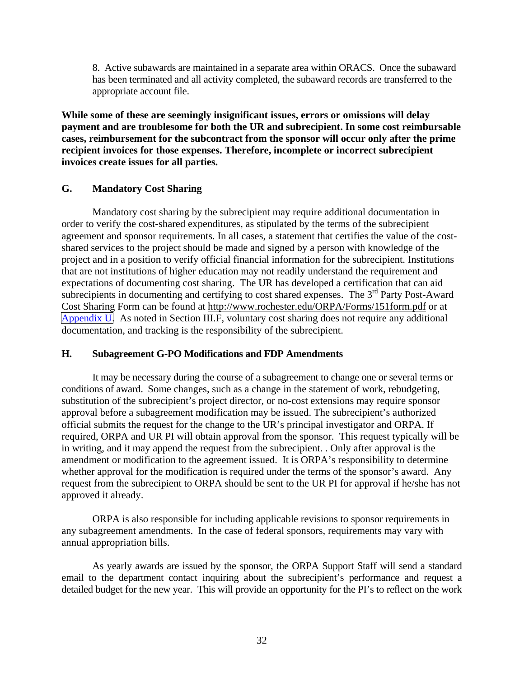8. Active subawards are maintained in a separate area within ORACS. Once the subaward has been terminated and all activity completed, the subaward records are transferred to the appropriate account file.

**While some of these are seemingly insignificant issues, errors or omissions will delay payment and are troublesome for both the UR and subrecipient. In some cost reimbursable cases, reimbursement for the subcontract from the sponsor will occur only after the prime recipient invoices for those expenses. Therefore, incomplete or incorrect subrecipient invoices create issues for all parties.** 

## **G. Mandatory Cost Sharing**

Mandatory cost sharing by the subrecipient may require additional documentation in order to verify the cost-shared expenditures, as stipulated by the terms of the subrecipient agreement and sponsor requirements. In all cases, a statement that certifies the value of the costshared services to the project should be made and signed by a person with knowledge of the project and in a position to verify official financial information for the subrecipient. Institutions that are not institutions of higher education may not readily understand the requirement and expectations of documenting cost sharing. The UR has developed a certification that can aid subrecipients in documenting and certifying to cost shared expenses. The  $3<sup>rd</sup>$  Party Post-Award Cost Sharing Form can be found at<http://www.rochester.edu/ORPA/Forms/151form.pdf>or at [Appendix U.](http://www.rochester.edu/ORPA/manual/AppendixUpostawardThirdPartyCS.pdf) As noted in Section III.F, voluntary cost sharing does not require any additional documentation, and tracking is the responsibility of the subrecipient.

## **H. Subagreement G-PO Modifications and FDP Amendments**

 It may be necessary during the course of a subagreement to change one or several terms or conditions of award. Some changes, such as a change in the statement of work, rebudgeting, substitution of the subrecipient's project director, or no-cost extensions may require sponsor approval before a subagreement modification may be issued. The subrecipient's authorized official submits the request for the change to the UR's principal investigator and ORPA. If required, ORPA and UR PI will obtain approval from the sponsor. This request typically will be in writing, and it may append the request from the subrecipient. . Only after approval is the amendment or modification to the agreement issued. It is ORPA's responsibility to determine whether approval for the modification is required under the terms of the sponsor's award. Any request from the subrecipient to ORPA should be sent to the UR PI for approval if he/she has not approved it already.

 ORPA is also responsible for including applicable revisions to sponsor requirements in any subagreement amendments. In the case of federal sponsors, requirements may vary with annual appropriation bills.

 As yearly awards are issued by the sponsor, the ORPA Support Staff will send a standard email to the department contact inquiring about the subrecipient's performance and request a detailed budget for the new year. This will provide an opportunity for the PI's to reflect on the work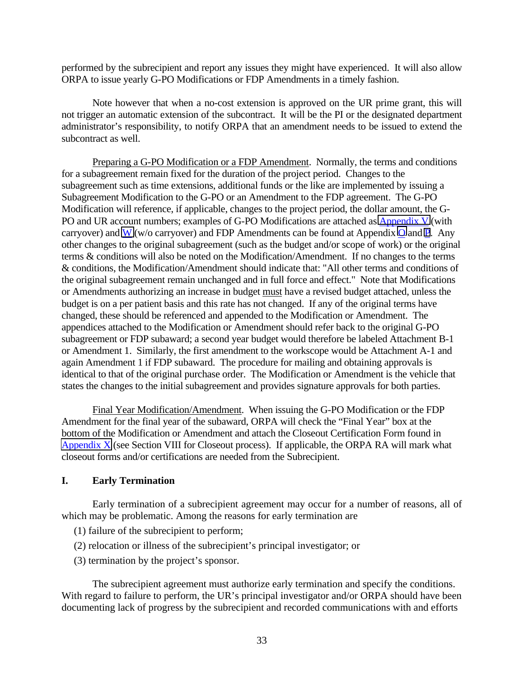performed by the subrecipient and report any issues they might have experienced. It will also allow ORPA to issue yearly G-PO Modifications or FDP Amendments in a timely fashion.

 Note however that when a no-cost extension is approved on the UR prime grant, this will not trigger an automatic extension of the subcontract. It will be the PI or the designated department administrator's responsibility, to notify ORPA that an amendment needs to be issued to extend the subcontract as well.

Preparing a G-PO Modification or a FDP Amendment. Normally, the terms and conditions for a subagreement remain fixed for the duration of the project period. Changes to the subagreement such as time extensions, additional funds or the like are implemented by issuing a Subagreement Modification to the G-PO or an Amendment to the FDP agreement. The G-PO Modification will reference, if applicable, changes to the project period, the dollar amount, the G-PO and UR account numbers; examples of G-PO Modifications are attached as  $\Delta$ ppendix V (with carryover) and [W \(](http://www.rochester.edu/ORPA/manual/AppendixWgpoChangeOrderWOcarryforward.pdf)w/o carryover) and FDP Amendments can be found at Appendix [O](http://www.rochester.edu/ORPA/manual/AppendixOfdpAmendmentCarryforward.pdf) and [P.](http://www.rochester.edu/ORPA/manual/AppendixPfdpAmendmentWOcarryforward.pdf) Any other changes to the original subagreement (such as the budget and/or scope of work) or the original terms & conditions will also be noted on the Modification/Amendment. If no changes to the terms & conditions, the Modification/Amendment should indicate that: "All other terms and conditions of the original subagreement remain unchanged and in full force and effect." Note that Modifications or Amendments authorizing an increase in budget must have a revised budget attached, unless the budget is on a per patient basis and this rate has not changed. If any of the original terms have changed, these should be referenced and appended to the Modification or Amendment. The appendices attached to the Modification or Amendment should refer back to the original G-PO subagreement or FDP subaward; a second year budget would therefore be labeled Attachment B-1 or Amendment 1. Similarly, the first amendment to the workscope would be Attachment A-1 and again Amendment 1 if FDP subaward. The procedure for mailing and obtaining approvals is identical to that of the original purchase order. The Modification or Amendment is the vehicle that states the changes to the initial subagreement and provides signature approvals for both parties.

Final Year Modification/Amendment. When issuing the G-PO Modification or the FDP Amendment for the final year of the subaward, ORPA will check the "Final Year" box at the bottom of the Modification or Amendment and attach the Closeout Certification Form found in [Appendix X](http://www.rochester.edu/ORPA/manual/AppendixXCloseoutCertification.pdf) (see Section VIII for Closeout process). If applicable, the ORPA RA will mark what closeout forms and/or certifications are needed from the Subrecipient.

#### **I. Early Termination**

Early termination of a subrecipient agreement may occur for a number of reasons, all of which may be problematic. Among the reasons for early termination are

- (1) failure of the subrecipient to perform;
- (2) relocation or illness of the subrecipient's principal investigator; or
- (3) termination by the project's sponsor.

The subrecipient agreement must authorize early termination and specify the conditions. With regard to failure to perform, the UR's principal investigator and/or ORPA should have been documenting lack of progress by the subrecipient and recorded communications with and efforts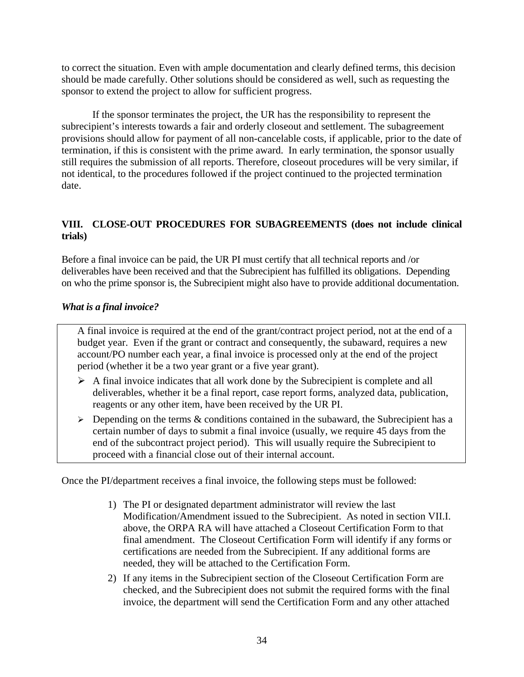to correct the situation. Even with ample documentation and clearly defined terms, this decision should be made carefully. Other solutions should be considered as well, such as requesting the sponsor to extend the project to allow for sufficient progress.

If the sponsor terminates the project, the UR has the responsibility to represent the subrecipient's interests towards a fair and orderly closeout and settlement. The subagreement provisions should allow for payment of all non-cancelable costs, if applicable, prior to the date of termination, if this is consistent with the prime award. In early termination, the sponsor usually still requires the submission of all reports. Therefore, closeout procedures will be very similar, if not identical, to the procedures followed if the project continued to the projected termination date.

# **VIII. CLOSE-OUT PROCEDURES FOR SUBAGREEMENTS (does not include clinical trials)**

Before a final invoice can be paid, the UR PI must certify that all technical reports and /or deliverables have been received and that the Subrecipient has fulfilled its obligations. Depending on who the prime sponsor is, the Subrecipient might also have to provide additional documentation.

# *What is a final invoice?*

A final invoice is required at the end of the grant/contract project period, not at the end of a budget year. Even if the grant or contract and consequently, the subaward, requires a new account/PO number each year, a final invoice is processed only at the end of the project period (whether it be a two year grant or a five year grant).

- $\triangleright$  A final invoice indicates that all work done by the Subrecipient is complete and all deliverables, whether it be a final report, case report forms, analyzed data, publication, reagents or any other item, have been received by the UR PI.
- $\triangleright$  Depending on the terms & conditions contained in the subaward, the Subrecipient has a certain number of days to submit a final invoice (usually, we require 45 days from the end of the subcontract project period). This will usually require the Subrecipient to proceed with a financial close out of their internal account.

Once the PI/department receives a final invoice, the following steps must be followed:

- 1) The PI or designated department administrator will review the last Modification/Amendment issued to the Subrecipient. As noted in section VII.I. above, the ORPA RA will have attached a Closeout Certification Form to that final amendment. The Closeout Certification Form will identify if any forms or certifications are needed from the Subrecipient. If any additional forms are needed, they will be attached to the Certification Form.
- 2) If any items in the Subrecipient section of the Closeout Certification Form are checked, and the Subrecipient does not submit the required forms with the final invoice, the department will send the Certification Form and any other attached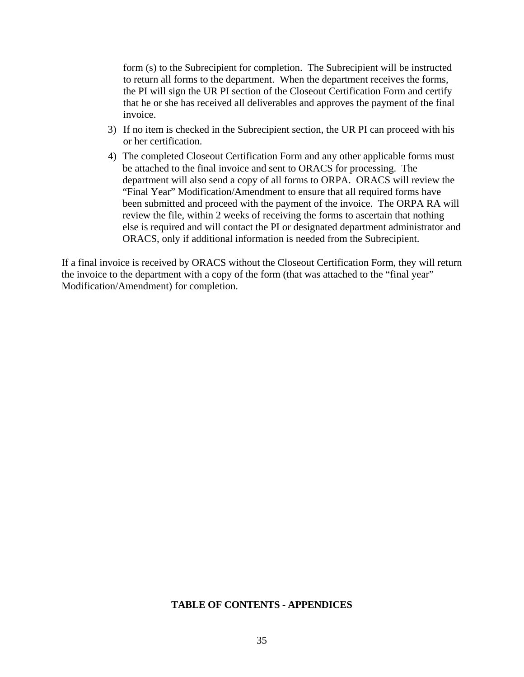form (s) to the Subrecipient for completion. The Subrecipient will be instructed to return all forms to the department. When the department receives the forms, the PI will sign the UR PI section of the Closeout Certification Form and certify that he or she has received all deliverables and approves the payment of the final invoice.

- 3) If no item is checked in the Subrecipient section, the UR PI can proceed with his or her certification.
- 4) The completed Closeout Certification Form and any other applicable forms must be attached to the final invoice and sent to ORACS for processing. The department will also send a copy of all forms to ORPA. ORACS will review the "Final Year" Modification/Amendment to ensure that all required forms have been submitted and proceed with the payment of the invoice. The ORPA RA will review the file, within 2 weeks of receiving the forms to ascertain that nothing else is required and will contact the PI or designated department administrator and ORACS, only if additional information is needed from the Subrecipient.

If a final invoice is received by ORACS without the Closeout Certification Form, they will return the invoice to the department with a copy of the form (that was attached to the "final year" Modification/Amendment) for completion.

## **TABLE OF CONTENTS - APPENDICES**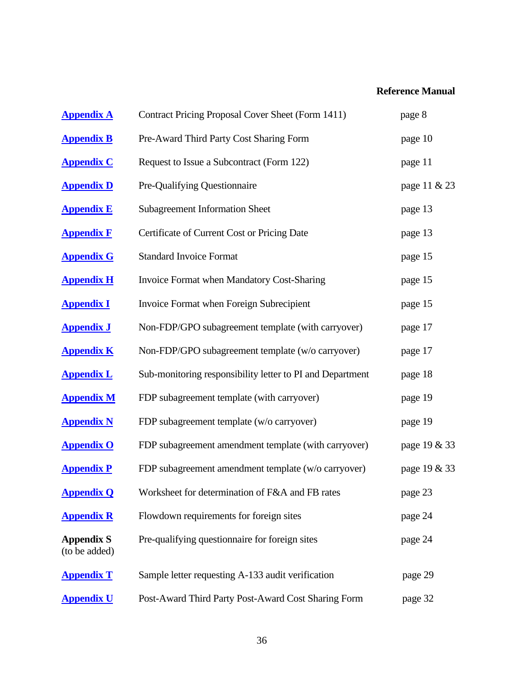# **Reference Manual**

| <b>Appendix A</b>                  | Contract Pricing Proposal Cover Sheet (Form 1411)         | page 8       |
|------------------------------------|-----------------------------------------------------------|--------------|
| <b>Appendix B</b>                  | Pre-Award Third Party Cost Sharing Form                   | page 10      |
| <b>Appendix C</b>                  | Request to Issue a Subcontract (Form 122)                 | page 11      |
| <b>Appendix D</b>                  | Pre-Qualifying Questionnaire                              | page 11 & 23 |
| <b>Appendix E</b>                  | <b>Subagreement Information Sheet</b>                     | page 13      |
| <b>Appendix F</b>                  | Certificate of Current Cost or Pricing Date               | page 13      |
| <b>Appendix G</b>                  | <b>Standard Invoice Format</b>                            | page 15      |
| <b>Appendix H</b>                  | Invoice Format when Mandatory Cost-Sharing                | page 15      |
| <b>Appendix I</b>                  | Invoice Format when Foreign Subrecipient                  | page 15      |
| <b>Appendix J</b>                  | Non-FDP/GPO subagreement template (with carryover)        | page 17      |
| <b>Appendix K</b>                  | Non-FDP/GPO subagreement template (w/o carryover)         | page 17      |
| <b>Appendix L</b>                  | Sub-monitoring responsibility letter to PI and Department | page 18      |
| <b>Appendix M</b>                  | FDP subagreement template (with carryover)                | page 19      |
| <b>Appendix N</b>                  | FDP subagreement template (w/o carryover)                 | page 19      |
| <b>Appendix O</b>                  | FDP subagreement amendment template (with carryover)      | page 19 & 33 |
| <b>Appendix P</b>                  | FDP subagreement amendment template (w/o carryover)       | page 19 & 33 |
| <b>Appendix Q</b>                  | Worksheet for determination of F&A and FB rates           | page 23      |
| <b>Appendix R</b>                  | Flowdown requirements for foreign sites                   | page 24      |
| <b>Appendix S</b><br>(to be added) | Pre-qualifying questionnaire for foreign sites            | page 24      |
| <b>Appendix T</b>                  | Sample letter requesting A-133 audit verification         | page 29      |
| <b>Appendix U</b>                  | Post-Award Third Party Post-Award Cost Sharing Form       | page 32      |